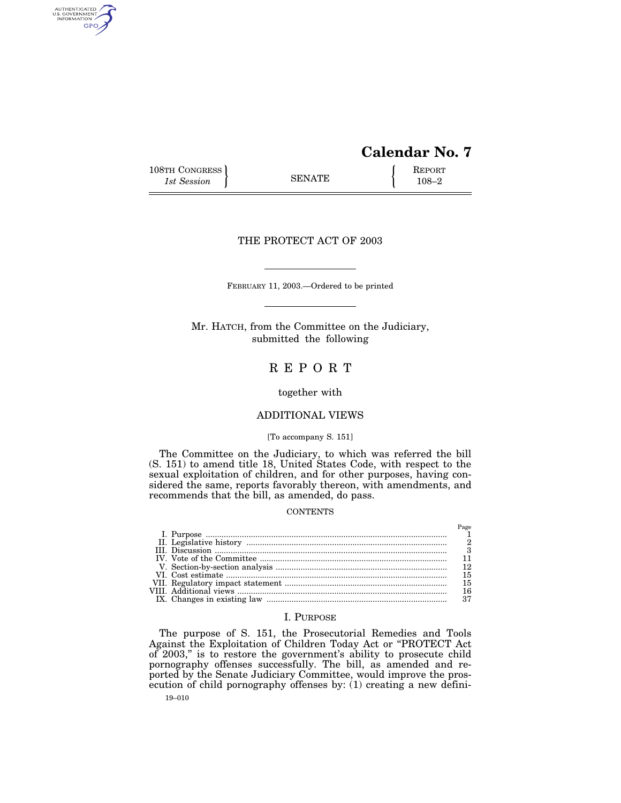# **Calendar No. 7**

108TH CONGRESS REPORT SENATE  $\left\{\begin{array}{c} \text{REPORT} \\ \text{108-2} \end{array}\right\}$ 1st Session **108–2 SENATE** 108–2

AUTHENTICATED<br>U.S. GOVERNMENT<br>INFORMATION GPO

# THE PROTECT ACT OF 2003

FEBRUARY 11, 2003.—Ordered to be printed

Mr. HATCH, from the Committee on the Judiciary, submitted the following

# R E P O R T

together with

# ADDITIONAL VIEWS

# [To accompany S. 151]

The Committee on the Judiciary, to which was referred the bill (S. 151) to amend title 18, United States Code, with respect to the sexual exploitation of children, and for other purposes, having considered the same, reports favorably thereon, with amendments, and recommends that the bill, as amended, do pass.

### **CONTENTS**

|  | 12 |
|--|----|
|  | 15 |
|  | 15 |
|  | 16 |
|  |    |

# I. PURPOSE

19–010 The purpose of S. 151, the Prosecutorial Remedies and Tools Against the Exploitation of Children Today Act or ''PROTECT Act of 2003,'' is to restore the government's ability to prosecute child pornography offenses successfully. The bill, as amended and reported by the Senate Judiciary Committee, would improve the prosecution of child pornography offenses by: (1) creating a new defini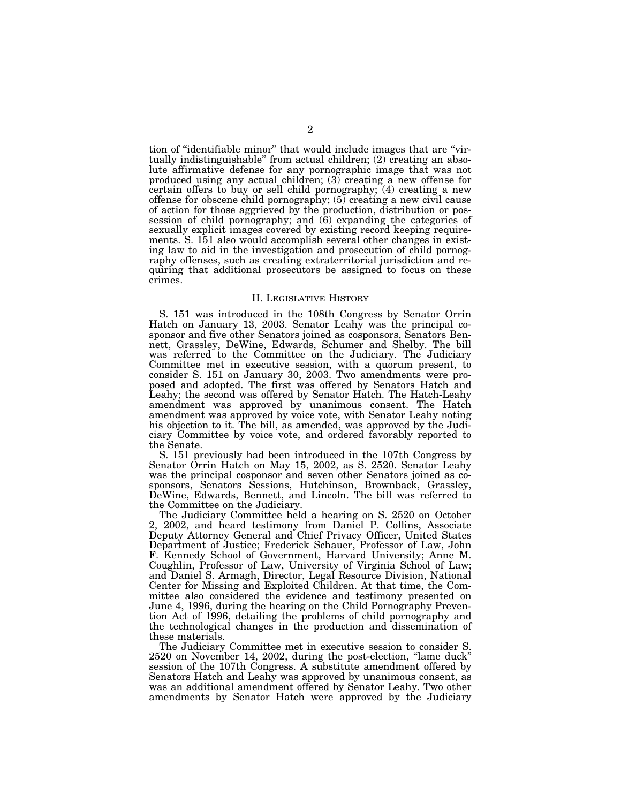tion of ''identifiable minor'' that would include images that are ''virtually indistinguishable'' from actual children; (2) creating an absolute affirmative defense for any pornographic image that was not produced using any actual children;  $(3)$  creating a new offense for certain offers to buy or sell child pornography; (4) creating a new offense for obscene child pornography;  $(5)$  creating a new civil cause of action for those aggrieved by the production, distribution or possession of child pornography; and (6) expanding the categories of sexually explicit images covered by existing record keeping requirements. S. 151 also would accomplish several other changes in existing law to aid in the investigation and prosecution of child pornography offenses, such as creating extraterritorial jurisdiction and requiring that additional prosecutors be assigned to focus on these crimes.

#### II. LEGISLATIVE HISTORY

S. 151 was introduced in the 108th Congress by Senator Orrin Hatch on January 13, 2003. Senator Leahy was the principal cosponsor and five other Senators joined as cosponsors, Senators Bennett, Grassley, DeWine, Edwards, Schumer and Shelby. The bill was referred to the Committee on the Judiciary. The Judiciary Committee met in executive session, with a quorum present, to consider S. 151 on January 30, 2003. Two amendments were proposed and adopted. The first was offered by Senators Hatch and Leahy; the second was offered by Senator Hatch. The Hatch-Leahy amendment was approved by unanimous consent. The Hatch amendment was approved by voice vote, with Senator Leahy noting his objection to it. The bill, as amended, was approved by the Judiciary Committee by voice vote, and ordered favorably reported to the Senate.

S. 151 previously had been introduced in the 107th Congress by Senator Orrin Hatch on May 15, 2002, as S. 2520. Senator Leahy was the principal cosponsor and seven other Senators joined as cosponsors, Senators Sessions, Hutchinson, Brownback, Grassley, DeWine, Edwards, Bennett, and Lincoln. The bill was referred to the Committee on the Judiciary.

The Judiciary Committee held a hearing on S. 2520 on October 2, 2002, and heard testimony from Daniel P. Collins, Associate Deputy Attorney General and Chief Privacy Officer, United States Department of Justice; Frederick Schauer, Professor of Law, John F. Kennedy School of Government, Harvard University; Anne M. Coughlin, Professor of Law, University of Virginia School of Law; and Daniel S. Armagh, Director, Legal Resource Division, National Center for Missing and Exploited Children. At that time, the Committee also considered the evidence and testimony presented on June 4, 1996, during the hearing on the Child Pornography Prevention Act of 1996, detailing the problems of child pornography and the technological changes in the production and dissemination of these materials.

The Judiciary Committee met in executive session to consider S. 2520 on November 14, 2002, during the post-election, ''lame duck'' session of the 107th Congress. A substitute amendment offered by Senators Hatch and Leahy was approved by unanimous consent, as was an additional amendment offered by Senator Leahy. Two other amendments by Senator Hatch were approved by the Judiciary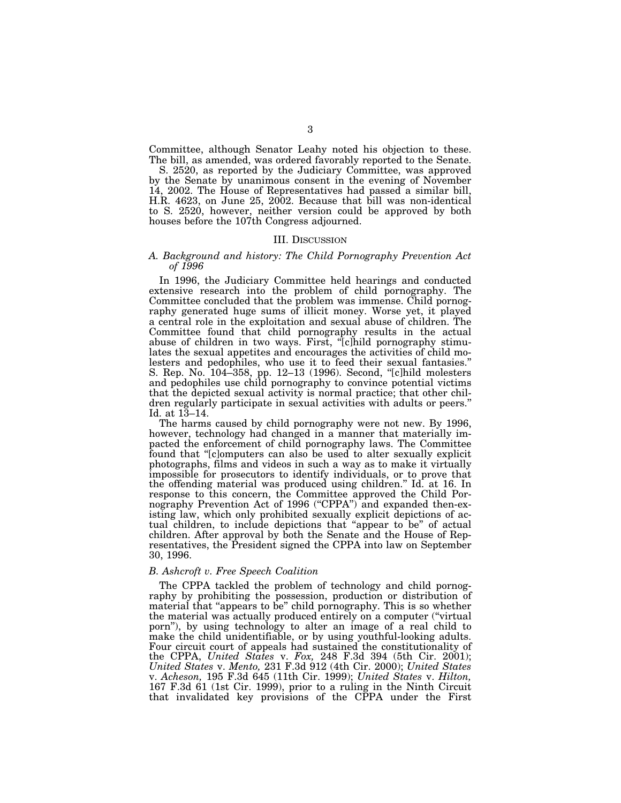Committee, although Senator Leahy noted his objection to these. The bill, as amended, was ordered favorably reported to the Senate.

S. 2520, as reported by the Judiciary Committee, was approved by the Senate by unanimous consent in the evening of November 14, 2002. The House of Representatives had passed a similar bill, H.R. 4623, on June 25, 2002. Because that bill was non-identical to S. 2520, however, neither version could be approved by both houses before the 107th Congress adjourned.

# III. DISCUSSION

# *A. Background and history: The Child Pornography Prevention Act of 1996*

In 1996, the Judiciary Committee held hearings and conducted extensive research into the problem of child pornography. The Committee concluded that the problem was immense. Child pornography generated huge sums of illicit money. Worse yet, it played a central role in the exploitation and sexual abuse of children. The Committee found that child pornography results in the actual abuse of children in two ways. First, ''[c]hild pornography stimulates the sexual appetites and encourages the activities of child molesters and pedophiles, who use it to feed their sexual fantasies.'' S. Rep. No. 104–358, pp. 12–13 (1996). Second, ''[c]hild molesters and pedophiles use child pornography to convince potential victims that the depicted sexual activity is normal practice; that other children regularly participate in sexual activities with adults or peers.'' Id. at 13–14.

The harms caused by child pornography were not new. By 1996, however, technology had changed in a manner that materially impacted the enforcement of child pornography laws. The Committee found that "[c]omputers can also be used to alter sexually explicit photographs, films and videos in such a way as to make it virtually impossible for prosecutors to identify individuals, or to prove that the offending material was produced using children.'' Id. at 16. In response to this concern, the Committee approved the Child Pornography Prevention Act of 1996 ("CPPA") and expanded then-existing law, which only prohibited sexually explicit depictions of actual children, to include depictions that ''appear to be'' of actual children. After approval by both the Senate and the House of Representatives, the President signed the CPPA into law on September 30, 1996.

#### *B. Ashcroft v. Free Speech Coalition*

The CPPA tackled the problem of technology and child pornography by prohibiting the possession, production or distribution of material that ''appears to be'' child pornography. This is so whether the material was actually produced entirely on a computer (''virtual porn''), by using technology to alter an image of a real child to make the child unidentifiable, or by using youthful-looking adults. Four circuit court of appeals had sustained the constitutionality of the CPPA, *United States* v. *Fox,* 248 F.3d 394 (5th Cir. 2001); *United States* v. *Mento,* 231 F.3d 912 (4th Cir. 2000); *United States* v. *Acheson,* 195 F.3d 645 (11th Cir. 1999); *United States* v. *Hilton,* 167 F.3d 61 (1st Cir. 1999), prior to a ruling in the Ninth Circuit that invalidated key provisions of the CPPA under the First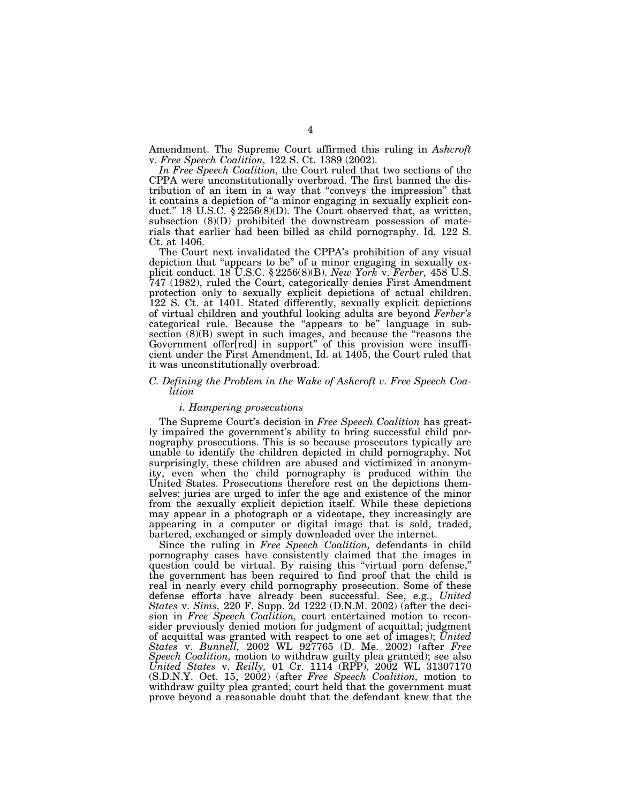Amendment. The Supreme Court affirmed this ruling in *Ashcroft* v. *Free Speech Coalition,* 122 S. Ct. 1389 (2002).

*In Free Speech Coalition,* the Court ruled that two sections of the CPPA were unconstitutionally overbroad. The first banned the distribution of an item in a way that ''conveys the impression'' that it contains a depiction of ''a minor engaging in sexually explicit conduct.'' 18 U.S.C. § 2256(8)(D). The Court observed that, as written, subsection (8)(D) prohibited the downstream possession of materials that earlier had been billed as child pornography. Id. 122 S. Ct. at 1406.

The Court next invalidated the CPPA's prohibition of any visual depiction that "appears to be" of a minor engaging in sexually explicit conduct. 18 U.S.C. § 2256(8)(B). *New York* v. *Ferber,* 458 U.S. 747 (1982), ruled the Court, categorically denies First Amendment protection only to sexually explicit depictions of actual children. 122 S. Ct. at 1401. Stated differently, sexually explicit depictions of virtual children and youthful looking adults are beyond *Ferber's* categorical rule. Because the "appears to be" language in subsection  $(8)(B)$  swept in such images, and because the "reasons the Government offer[red] in support" of this provision were insufficient under the First Amendment, Id. at 1405, the Court ruled that it was unconstitutionally overbroad.

# *C. Defining the Problem in the Wake of Ashcroft v. Free Speech Coalition*

#### *i. Hampering prosecutions*

The Supreme Court's decision in *Free Speech Coalition* has greatly impaired the government's ability to bring successful child pornography prosecutions. This is so because prosecutors typically are unable to identify the children depicted in child pornography. Not surprisingly, these children are abused and victimized in anonymity, even when the child pornography is produced within the United States. Prosecutions therefore rest on the depictions themselves; juries are urged to infer the age and existence of the minor from the sexually explicit depiction itself. While these depictions may appear in a photograph or a videotape, they increasingly are appearing in a computer or digital image that is sold, traded, bartered, exchanged or simply downloaded over the internet.

Since the ruling in *Free Speech Coalition,* defendants in child pornography cases have consistently claimed that the images in question could be virtual. By raising this ''virtual porn defense,'' the government has been required to find proof that the child is real in nearly every child pornography prosecution. Some of these defense efforts have already been successful. See, e.g., *United States* v. *Sims,* 220 F. Supp. 2d 1222 (D.N.M. 2002) (after the decision in *Free Speech Coalition,* court entertained motion to reconsider previously denied motion for judgment of acquittal; judgment of acquittal was granted with respect to one set of images); *United States* v. *Bunnell,* 2002 WL 927765 (D. Me. 2002) (after *Free Speech Coalition,* motion to withdraw guilty plea granted); see also *United States* v. *Reilly,* 01 Cr. 1114 (RPP), 2002 WL 31307170 (S.D.N.Y. Oct. 15, 2002) (after *Free Speech Coalition,* motion to withdraw guilty plea granted; court held that the government must prove beyond a reasonable doubt that the defendant knew that the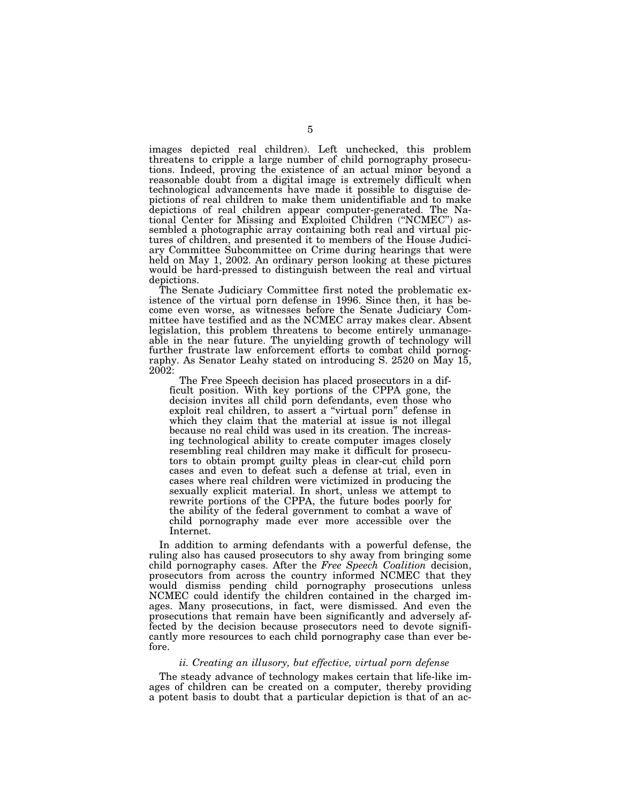images depicted real children). Left unchecked, this problem threatens to cripple a large number of child pornography prosecutions. Indeed, proving the existence of an actual minor beyond a reasonable doubt from a digital image is extremely difficult when technological advancements have made it possible to disguise depictions of real children to make them unidentifiable and to make depictions of real children appear computer-generated. The National Center for Missing and Exploited Children (''NCMEC'') assembled a photographic array containing both real and virtual pictures of children, and presented it to members of the House Judiciary Committee Subcommittee on Crime during hearings that were held on May 1, 2002. An ordinary person looking at these pictures would be hard-pressed to distinguish between the real and virtual depictions.

The Senate Judiciary Committee first noted the problematic existence of the virtual porn defense in 1996. Since then, it has become even worse, as witnesses before the Senate Judiciary Committee have testified and as the NCMEC array makes clear. Absent legislation, this problem threatens to become entirely unmanageable in the near future. The unyielding growth of technology will further frustrate law enforcement efforts to combat child pornography. As Senator Leahy stated on introducing S. 2520 on May 15, 2002:

The Free Speech decision has placed prosecutors in a difficult position. With key portions of the CPPA gone, the decision invites all child porn defendants, even those who exploit real children, to assert a ''virtual porn'' defense in which they claim that the material at issue is not illegal because no real child was used in its creation. The increasing technological ability to create computer images closely resembling real children may make it difficult for prosecutors to obtain prompt guilty pleas in clear-cut child porn cases and even to defeat such a defense at trial, even in cases where real children were victimized in producing the sexually explicit material. In short, unless we attempt to rewrite portions of the CPPA, the future bodes poorly for the ability of the federal government to combat a wave of child pornography made ever more accessible over the Internet.

In addition to arming defendants with a powerful defense, the ruling also has caused prosecutors to shy away from bringing some child pornography cases. After the *Free Speech Coalition* decision, prosecutors from across the country informed NCMEC that they would dismiss pending child pornography prosecutions unless NCMEC could identify the children contained in the charged images. Many prosecutions, in fact, were dismissed. And even the prosecutions that remain have been significantly and adversely affected by the decision because prosecutors need to devote significantly more resources to each child pornography case than ever before.

### *ii. Creating an illusory, but effective, virtual porn defense*

The steady advance of technology makes certain that life-like images of children can be created on a computer, thereby providing a potent basis to doubt that a particular depiction is that of an ac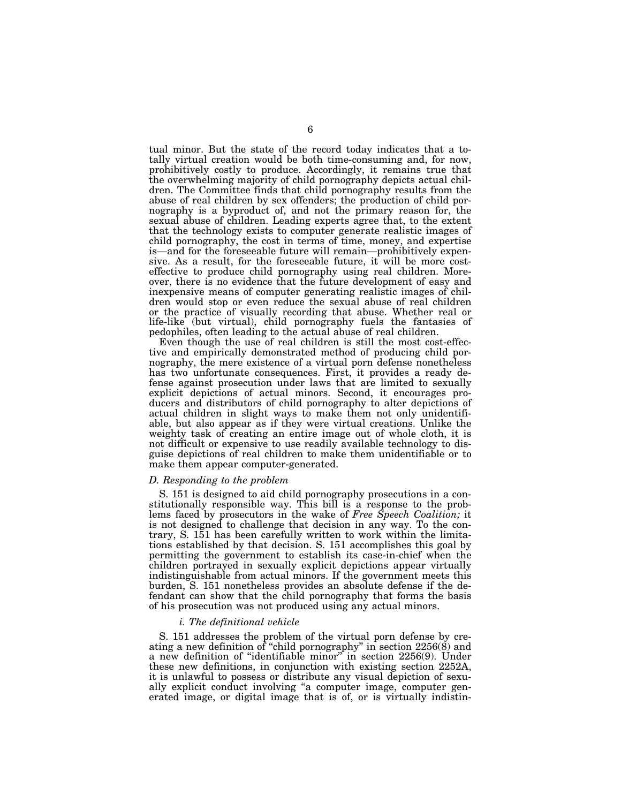tual minor. But the state of the record today indicates that a totally virtual creation would be both time-consuming and, for now, prohibitively costly to produce. Accordingly, it remains true that the overwhelming majority of child pornography depicts actual children. The Committee finds that child pornography results from the abuse of real children by sex offenders; the production of child pornography is a byproduct of, and not the primary reason for, the sexual abuse of children. Leading experts agree that, to the extent that the technology exists to computer generate realistic images of child pornography, the cost in terms of time, money, and expertise is—and for the foreseeable future will remain—prohibitively expensive. As a result, for the foreseeable future, it will be more costeffective to produce child pornography using real children. Moreover, there is no evidence that the future development of easy and inexpensive means of computer generating realistic images of children would stop or even reduce the sexual abuse of real children or the practice of visually recording that abuse. Whether real or life-like (but virtual), child pornography fuels the fantasies of pedophiles, often leading to the actual abuse of real children.

Even though the use of real children is still the most cost-effective and empirically demonstrated method of producing child pornography, the mere existence of a virtual porn defense nonetheless has two unfortunate consequences. First, it provides a ready defense against prosecution under laws that are limited to sexually explicit depictions of actual minors. Second, it encourages producers and distributors of child pornography to alter depictions of actual children in slight ways to make them not only unidentifiable, but also appear as if they were virtual creations. Unlike the weighty task of creating an entire image out of whole cloth, it is not difficult or expensive to use readily available technology to disguise depictions of real children to make them unidentifiable or to make them appear computer-generated.

# *D. Responding to the problem*

S. 151 is designed to aid child pornography prosecutions in a constitutionally responsible way. This bill is a response to the problems faced by prosecutors in the wake of *Free Speech Coalition;* it is not designed to challenge that decision in any way. To the contrary, S. 151 has been carefully written to work within the limitations established by that decision. S. 151 accomplishes this goal by permitting the government to establish its case-in-chief when the children portrayed in sexually explicit depictions appear virtually indistinguishable from actual minors. If the government meets this burden, S. 151 nonetheless provides an absolute defense if the defendant can show that the child pornography that forms the basis of his prosecution was not produced using any actual minors.

#### *i. The definitional vehicle*

S. 151 addresses the problem of the virtual porn defense by creating a new definition of "child pornography" in section  $2256(\dot{8})$  and a new definition of ''identifiable minor'' in section 2256(9). Under these new definitions, in conjunction with existing section 2252A, it is unlawful to possess or distribute any visual depiction of sexually explicit conduct involving ''a computer image, computer generated image, or digital image that is of, or is virtually indistin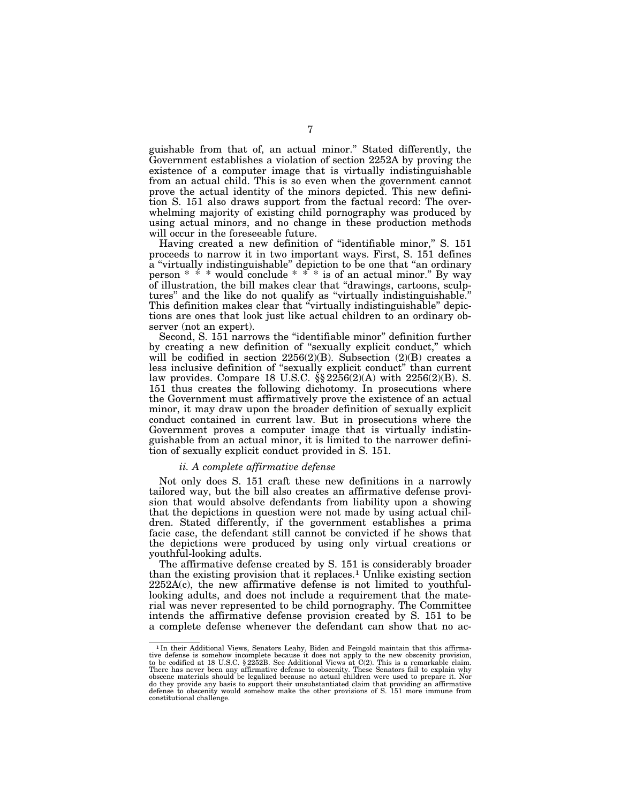guishable from that of, an actual minor.'' Stated differently, the Government establishes a violation of section 2252A by proving the existence of a computer image that is virtually indistinguishable from an actual child. This is so even when the government cannot prove the actual identity of the minors depicted. This new definition S. 151 also draws support from the factual record: The overwhelming majority of existing child pornography was produced by using actual minors, and no change in these production methods will occur in the foreseeable future.

Having created a new definition of ''identifiable minor,'' S. 151 proceeds to narrow it in two important ways. First, S. 151 defines a ''virtually indistinguishable'' depiction to be one that ''an ordinary person \* \* \* would conclude \* \* \* is of an actual minor.'' By way of illustration, the bill makes clear that ''drawings, cartoons, sculptures'' and the like do not qualify as ''virtually indistinguishable.'' This definition makes clear that ''virtually indistinguishable'' depictions are ones that look just like actual children to an ordinary observer (not an expert).

Second, S. 151 narrows the ''identifiable minor'' definition further by creating a new definition of ''sexually explicit conduct,'' which will be codified in section 2256(2)(B). Subsection (2)(B) creates a less inclusive definition of ''sexually explicit conduct'' than current law provides. Compare 18 U.S.C. §§ 2256(2)(A) with 2256(2)(B). S. 151 thus creates the following dichotomy. In prosecutions where the Government must affirmatively prove the existence of an actual minor, it may draw upon the broader definition of sexually explicit conduct contained in current law. But in prosecutions where the Government proves a computer image that is virtually indistinguishable from an actual minor, it is limited to the narrower definition of sexually explicit conduct provided in S. 151.

# *ii. A complete affirmative defense*

Not only does S. 151 craft these new definitions in a narrowly tailored way, but the bill also creates an affirmative defense provision that would absolve defendants from liability upon a showing that the depictions in question were not made by using actual children. Stated differently, if the government establishes a prima facie case, the defendant still cannot be convicted if he shows that the depictions were produced by using only virtual creations or youthful-looking adults.

The affirmative defense created by S. 151 is considerably broader than the existing provision that it replaces.1 Unlike existing section 2252A(c), the new affirmative defense is not limited to youthfullooking adults, and does not include a requirement that the material was never represented to be child pornography. The Committee intends the affirmative defense provision created by S. 151 to be a complete defense whenever the defendant can show that no ac-

<sup>1</sup> In their Additional Views, Senators Leahy, Biden and Feingold maintain that this affirma-tive defense is somehow incomplete because it does not apply to the new obscenity provision, to be codified at 18 U.S.C. §2252B. See Additional Views at C(2). This is a remarkable claim.<br>There has never been any affirmative defense to obscenity. These Senators fail to explain why<br>obscene materials should be legali do they provide any basis to support their unsubstantiated claim that providing an affirmative defense to obscenity would somehow make the other provisions of S. 151 more immune from constitutional challenge.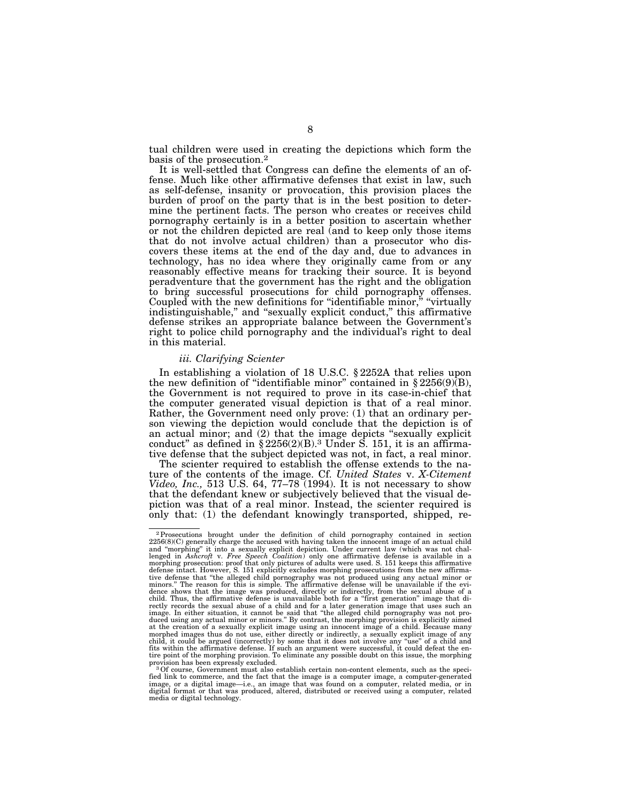tual children were used in creating the depictions which form the basis of the prosecution.2

It is well-settled that Congress can define the elements of an offense. Much like other affirmative defenses that exist in law, such as self-defense, insanity or provocation, this provision places the burden of proof on the party that is in the best position to determine the pertinent facts. The person who creates or receives child pornography certainly is in a better position to ascertain whether or not the children depicted are real (and to keep only those items that do not involve actual children) than a prosecutor who discovers these items at the end of the day and, due to advances in technology, has no idea where they originally came from or any reasonably effective means for tracking their source. It is beyond peradventure that the government has the right and the obligation to bring successful prosecutions for child pornography offenses. Coupled with the new definitions for "identifiable minor," "virtually indistinguishable,'' and ''sexually explicit conduct,'' this affirmative defense strikes an appropriate balance between the Government's right to police child pornography and the individual's right to deal in this material.

#### *iii. Clarifying Scienter*

In establishing a violation of 18 U.S.C. § 2252A that relies upon the new definition of "identifiable minor" contained in  $\S 2256(9)(B)$ , the Government is not required to prove in its case-in-chief that the computer generated visual depiction is that of a real minor. Rather, the Government need only prove: (1) that an ordinary person viewing the depiction would conclude that the depiction is of an actual minor; and (2) that the image depicts ''sexually explicit conduct" as defined in  $$2256(2)(B).$ <sup>3</sup> Under S. 151, it is an affirmative defense that the subject depicted was not, in fact, a real minor.

The scienter required to establish the offense extends to the nature of the contents of the image. Cf. *United States* v. *X-Citement Video, Inc.,* 513 U.S. 64, 77–78 (1994). It is not necessary to show that the defendant knew or subjectively believed that the visual depiction was that of a real minor. Instead, the scienter required is only that: (1) the defendant knowingly transported, shipped, re-

 $2$ Prosecutions brought under the definition of child pornography contained in section  $2256(8)(C)$  generally charge the accused with having taken the innocent image of an actual child and "morphing" it into a sexually exp lenged in Ashcroft v. Free Speech Coalition) only one affirmative defense is available in a<br>morphing prosecution: proof that only pictures of adults were used. S. 151 keeps this affirmative<br>defense intact. However, S. 151 tive defense that "the alleged child pornography was not produced using any actual minor or<br>minors." The reason for this is simple. The affirmative defense will be unavailable if the evi-<br>dence shows that the image was pro child. Thus, the affirmative defense is unavailable both for a ''first generation'' image that directly records the sexual abuse of a child and for a later generation image that uses such an image. In either situation, it cannot be said that "the alleged child pornography was not produced using any actual minor or min child, it could be argued (incorrectly) by some that it does not involve any "use" of a child and<br>fits within the affirmative defense. If such an argument were successful, it could defeat the en-<br>tire point of the morphing provision has been expressly excluded.<br><sup>3</sup>Of course, Government must also establish certain non-content elements, such as the speci-

fied link to commerce, and the fact that the image is a computer image, a computer-generated image, or a digital image—i.e., an image that was found on a computer, related media, or in digital format or that was produced, altered, distributed or received using a computer, related media or digital technology.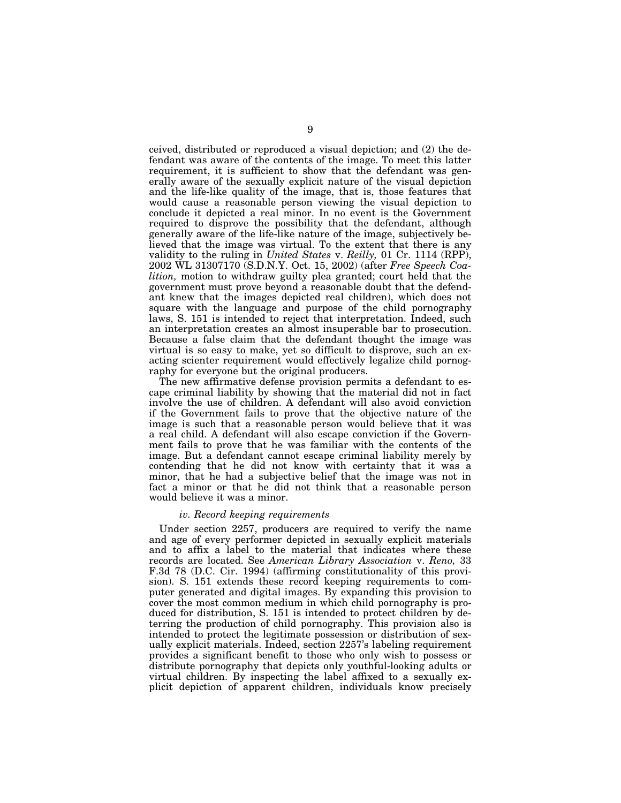ceived, distributed or reproduced a visual depiction; and (2) the defendant was aware of the contents of the image. To meet this latter requirement, it is sufficient to show that the defendant was generally aware of the sexually explicit nature of the visual depiction and the life-like quality of the image, that is, those features that would cause a reasonable person viewing the visual depiction to conclude it depicted a real minor. In no event is the Government required to disprove the possibility that the defendant, although generally aware of the life-like nature of the image, subjectively believed that the image was virtual. To the extent that there is any validity to the ruling in *United States* v. *Reilly,* 01 Cr. 1114 (RPP), 2002 WL 31307170 (S.D.N.Y. Oct. 15, 2002) (after *Free Speech Coalition,* motion to withdraw guilty plea granted; court held that the government must prove beyond a reasonable doubt that the defendant knew that the images depicted real children), which does not square with the language and purpose of the child pornography laws, S. 151 is intended to reject that interpretation. Indeed, such an interpretation creates an almost insuperable bar to prosecution. Because a false claim that the defendant thought the image was virtual is so easy to make, yet so difficult to disprove, such an exacting scienter requirement would effectively legalize child pornography for everyone but the original producers.

The new affirmative defense provision permits a defendant to escape criminal liability by showing that the material did not in fact involve the use of children. A defendant will also avoid conviction if the Government fails to prove that the objective nature of the image is such that a reasonable person would believe that it was a real child. A defendant will also escape conviction if the Government fails to prove that he was familiar with the contents of the image. But a defendant cannot escape criminal liability merely by contending that he did not know with certainty that it was a minor, that he had a subjective belief that the image was not in fact a minor or that he did not think that a reasonable person would believe it was a minor.

#### *iv. Record keeping requirements*

Under section 2257, producers are required to verify the name and age of every performer depicted in sexually explicit materials and to affix a label to the material that indicates where these records are located. See *American Library Association* v. *Reno,* 33 F.3d 78 (D.C. Cir. 1994) (affirming constitutionality of this provision). S. 151 extends these record keeping requirements to computer generated and digital images. By expanding this provision to cover the most common medium in which child pornography is produced for distribution, S. 151 is intended to protect children by deterring the production of child pornography. This provision also is intended to protect the legitimate possession or distribution of sexually explicit materials. Indeed, section 2257's labeling requirement provides a significant benefit to those who only wish to possess or distribute pornography that depicts only youthful-looking adults or virtual children. By inspecting the label affixed to a sexually explicit depiction of apparent children, individuals know precisely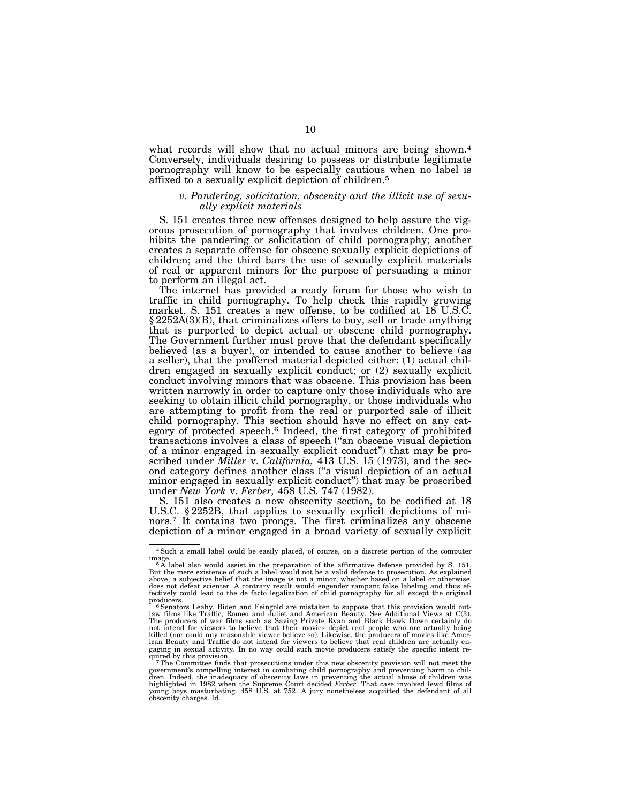what records will show that no actual minors are being shown.<sup>4</sup> Conversely, individuals desiring to possess or distribute legitimate pornography will know to be especially cautious when no label is affixed to a sexually explicit depiction of children.5

### *v. Pandering, solicitation, obscenity and the illicit use of sexually explicit materials*

S. 151 creates three new offenses designed to help assure the vigorous prosecution of pornography that involves children. One prohibits the pandering or solicitation of child pornography; another creates a separate offense for obscene sexually explicit depictions of children; and the third bars the use of sexually explicit materials of real or apparent minors for the purpose of persuading a minor to perform an illegal act.

The internet has provided a ready forum for those who wish to traffic in child pornography. To help check this rapidly growing market, S. 151 creates a new offense, to be codified at 18 U.S.C. § 2252A(3)(B), that criminalizes offers to buy, sell or trade anything that is purported to depict actual or obscene child pornography. The Government further must prove that the defendant specifically believed (as a buyer), or intended to cause another to believe (as a seller), that the proffered material depicted either: (1) actual children engaged in sexually explicit conduct; or (2) sexually explicit conduct involving minors that was obscene. This provision has been written narrowly in order to capture only those individuals who are seeking to obtain illicit child pornography, or those individuals who are attempting to profit from the real or purported sale of illicit child pornography. This section should have no effect on any category of protected speech.6 Indeed, the first category of prohibited transactions involves a class of speech (''an obscene visual depiction of a minor engaged in sexually explicit conduct'') that may be proscribed under *Miller* v. *California,* 413 U.S. 15 (1973), and the second category defines another class (''a visual depiction of an actual minor engaged in sexually explicit conduct'') that may be proscribed under *New York* v. *Ferber,* 458 U.S. 747 (1982).

S. 151 also creates a new obscenity section, to be codified at 18 U.S.C. § 2252B, that applies to sexually explicit depictions of minors.<sup>7</sup> It contains two prongs. The first criminalizes any obscene depiction of a minor engaged in a broad variety of sexually explicit

<sup>4</sup>Such a small label could be easily placed, of course, on a discrete portion of the computer image. 5 A label also would assist in the preparation of the affirmative defense provided by S. 151.

But the mere existence of such a label would not be a valid defense to prosecution. As explained<br>above, a subjective belief that the image is not a minor, whether based on a label or otherwise,<br>does not defeat scienter. A fectively could lead to the de facto legalization of child pornography for all except the original

<sup>&</sup>lt;sup>6</sup> Senators Leahy, Biden and Feingold are mistaken to suppose that this provision would outlaw films like Traffic, Romeo and Juliet and American Beauty. See Additional Views at C(3).<br>The producers of war films such as Saving Private Ryan and Black Hawk Down certainly do<br>not intend for viewers to believe that the ican Beauty and Traffic do not intend for viewers to believe that real children are actually engaging in sexual activity. In no way could such movie producers satisfy the specific intent required by this provision.<br>
The C

government's compelling interest in combating child pornography and preventing harm to children. Indeed, the inadequacy of obscenity laws in preventing the actual abuse of children was<br>highlighted in 1982 when the Supreme Court decided *Ferber*. That case involved lewd films of<br>young boys masturbating. 458 U.S.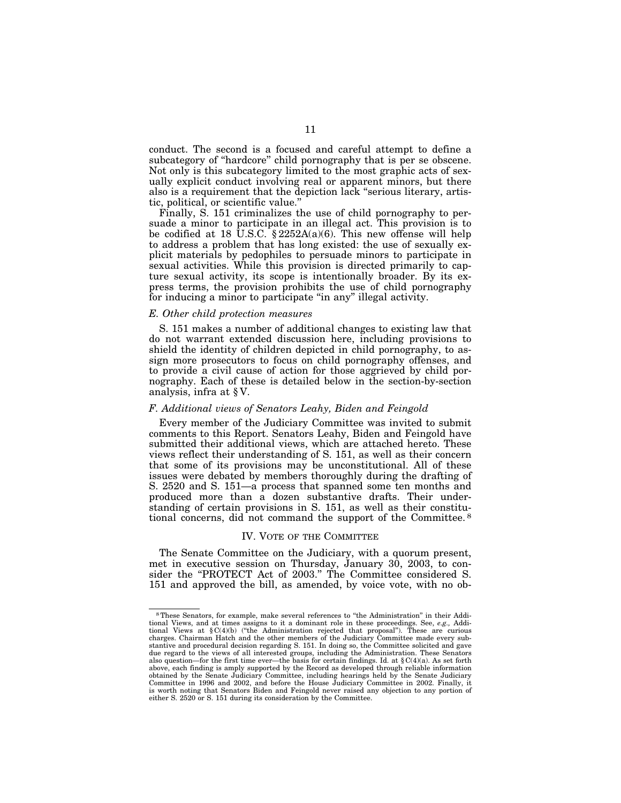conduct. The second is a focused and careful attempt to define a subcategory of ''hardcore'' child pornography that is per se obscene. Not only is this subcategory limited to the most graphic acts of sexually explicit conduct involving real or apparent minors, but there also is a requirement that the depiction lack ''serious literary, artistic, political, or scientific value.''

Finally, S. 151 criminalizes the use of child pornography to persuade a minor to participate in an illegal act. This provision is to be codified at 18 U.S.C.  $\S 2252A(a)(6)$ . This new offense will help to address a problem that has long existed: the use of sexually explicit materials by pedophiles to persuade minors to participate in sexual activities. While this provision is directed primarily to capture sexual activity, its scope is intentionally broader. By its express terms, the provision prohibits the use of child pornography for inducing a minor to participate "in any" illegal activity.

### *E. Other child protection measures*

S. 151 makes a number of additional changes to existing law that do not warrant extended discussion here, including provisions to shield the identity of children depicted in child pornography, to assign more prosecutors to focus on child pornography offenses, and to provide a civil cause of action for those aggrieved by child pornography. Each of these is detailed below in the section-by-section analysis, infra at § V.

# *F. Additional views of Senators Leahy, Biden and Feingold*

Every member of the Judiciary Committee was invited to submit comments to this Report. Senators Leahy, Biden and Feingold have submitted their additional views, which are attached hereto. These views reflect their understanding of S. 151, as well as their concern that some of its provisions may be unconstitutional. All of these issues were debated by members thoroughly during the drafting of S. 2520 and S. 151—a process that spanned some ten months and produced more than a dozen substantive drafts. Their understanding of certain provisions in S. 151, as well as their constitutional concerns, did not command the support of the Committee. 8

#### IV. VOTE OF THE COMMITTEE

The Senate Committee on the Judiciary, with a quorum present, met in executive session on Thursday, January 30, 2003, to consider the "PROTECT Act of 2003." The Committee considered S. 151 and approved the bill, as amended, by voice vote, with no ob-

<sup>8</sup>These Senators, for example, make several references to ''the Administration'' in their Additional Views, and at times assigns to it a dominant role in these proceedings. See, *e.g.,* Addi-tional Views at § C(4)(b) (''the Administration rejected that proposal''). These are curious charges. Chairman Hatch and the other members of the Judiciary Committee made every sub-stantive and procedural decision regarding S. 151. In doing so, the Committee solicited and gave due regard to the views of all interested groups, including the Administration. These Senators also question—for the first time ever—the basis for certain findings. Id. at  $\S C(4)(a)$ . As set forth above, each finding is amply supported by the Record as developed through reliable information obtained by the Senate Judiciary Committee, including hearings held by the Senate Judiciary Committee in 1996 and 2002, and before the House Judiciary Committee in 2002. Finally, it is worth noting that Senators Biden and Feingold never raised any objection to any portion of either S. 2520 or S. 151 during its consideration by the Committee.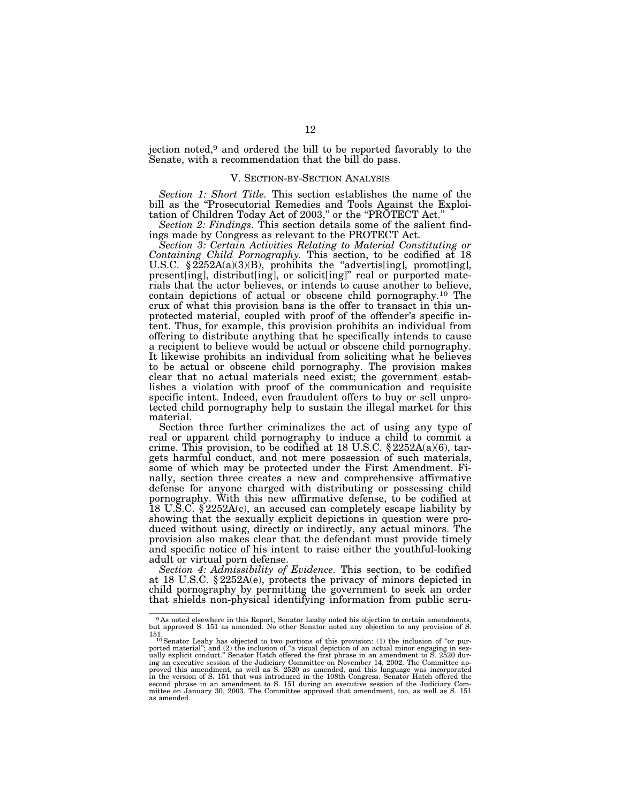jection noted,9 and ordered the bill to be reported favorably to the Senate, with a recommendation that the bill do pass.

### V. SECTION-BY-SECTION ANALYSIS

*Section 1: Short Title.* This section establishes the name of the bill as the "Prosecutorial Remedies and Tools Against the Exploitation of Children Today Act of 2003,'' or the ''PROTECT Act.''

*Section 2: Findings.* This section details some of the salient findings made by Congress as relevant to the PROTECT Act.

*Section 3: Certain Activities Relating to Material Constituting or Containing Child Pornography.* This section, to be codified at 18 U.S.C.  $\S 2252A(a)(3)(B)$ , prohibits the "advertis[ing], promot[ing], present[ing], distribut[ing], or solicit[ing]'' real or purported materials that the actor believes, or intends to cause another to believe, contain depictions of actual or obscene child pornography.10 The crux of what this provision bans is the offer to transact in this unprotected material, coupled with proof of the offender's specific intent. Thus, for example, this provision prohibits an individual from offering to distribute anything that he specifically intends to cause a recipient to believe would be actual or obscene child pornography. It likewise prohibits an individual from soliciting what he believes to be actual or obscene child pornography. The provision makes clear that no actual materials need exist; the government establishes a violation with proof of the communication and requisite specific intent. Indeed, even fraudulent offers to buy or sell unprotected child pornography help to sustain the illegal market for this material.

Section three further criminalizes the act of using any type of real or apparent child pornography to induce a child to commit a crime. This provision, to be codified at 18 U.S.C.  $\S 2252A(a)(6)$ , targets harmful conduct, and not mere possession of such materials, some of which may be protected under the First Amendment. Finally, section three creates a new and comprehensive affirmative defense for anyone charged with distributing or possessing child pornography. With this new affirmative defense, to be codified at 18 U.S.C. § 2252A(c), an accused can completely escape liability by showing that the sexually explicit depictions in question were produced without using, directly or indirectly, any actual minors. The provision also makes clear that the defendant must provide timely and specific notice of his intent to raise either the youthful-looking adult or virtual porn defense.

*Section 4: Admissibility of Evidence.* This section, to be codified at 18 U.S.C. § 2252A(e), protects the privacy of minors depicted in child pornography by permitting the government to seek an order that shields non-physical identifying information from public scru-

<sup>9</sup> As noted elsewhere in this Report, Senator Leahy noted his objection to certain amendments, but approved S. 151 as amended. No other Senator noted any objection to any provision of S.

<sup>151.</sup> The inclusion of "or pur-<br>
<sup>10</sup> Senator Leahy has objected to two portions of this provision: (1) the inclusion of "or pur-<br>
ported material"; and (2) the inclusion of "a visual depiction of an actual minor engaging ing an executive session of the Judiciary Committee on November 14, 2002. The Committee ap-<br>proved this amendment, as well as S. 2520 as amended, and this language was incorporated<br>in the version of S. 151 that was introdu second phrase in an amendment to S. 151 during an executive session of the Judiciary Com-mittee on January 30, 2003. The Committee approved that amendment, too, as well as S. 151 as amended.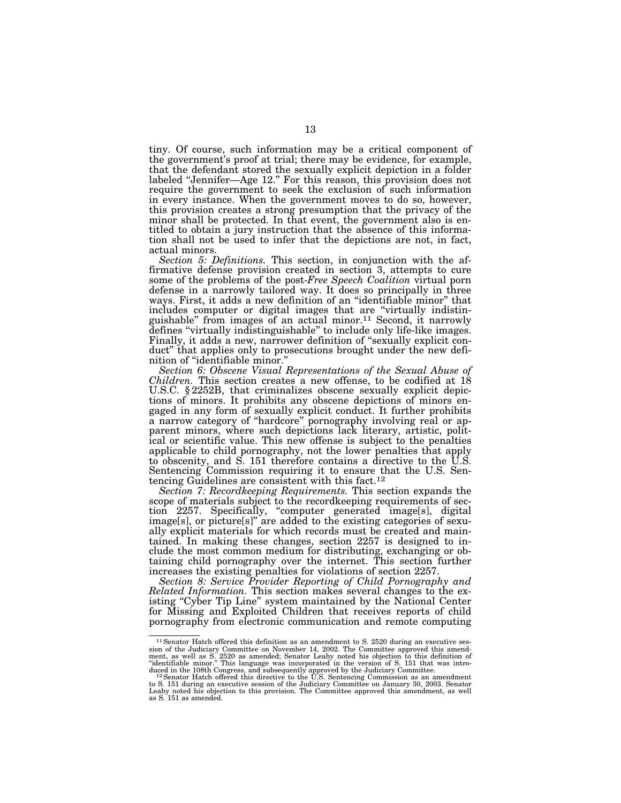tiny. Of course, such information may be a critical component of the government's proof at trial; there may be evidence, for example, that the defendant stored the sexually explicit depiction in a folder labeled "Jennifer—Age 12." For this reason, this provision does not require the government to seek the exclusion of such information in every instance. When the government moves to do so, however, this provision creates a strong presumption that the privacy of the minor shall be protected. In that event, the government also is entitled to obtain a jury instruction that the absence of this information shall not be used to infer that the depictions are not, in fact, actual minors.

*Section 5: Definitions.* This section, in conjunction with the affirmative defense provision created in section 3, attempts to cure some of the problems of the post-*Free Speech Coalition* virtual porn defense in a narrowly tailored way. It does so principally in three ways. First, it adds a new definition of an ''identifiable minor'' that includes computer or digital images that are ''virtually indistinguishable'' from images of an actual minor.11 Second, it narrowly defines "virtually indistinguishable" to include only life-like images. Finally, it adds a new, narrower definition of "sexually explicit conduct'' that applies only to prosecutions brought under the new definition of ''identifiable minor.''

*Section 6: Obscene Visual Representations of the Sexual Abuse of Children.* This section creates a new offense, to be codified at 18 U.S.C. § 2252B, that criminalizes obscene sexually explicit depictions of minors. It prohibits any obscene depictions of minors engaged in any form of sexually explicit conduct. It further prohibits a narrow category of ''hardcore'' pornography involving real or apparent minors, where such depictions lack literary, artistic, political or scientific value. This new offense is subject to the penalties applicable to child pornography, not the lower penalties that apply to obscenity, and S. 151 therefore contains a directive to the U.S. Sentencing Commission requiring it to ensure that the U.S. Sentencing Guidelines are consistent with this fact.12

*Section 7: Recordkeeping Requirements.* This section expands the scope of materials subject to the recordkeeping requirements of section 2257. Specifically, ''computer generated image[s], digital image[s], or picture[s]'' are added to the existing categories of sexually explicit materials for which records must be created and maintained. In making these changes, section 2257 is designed to include the most common medium for distributing, exchanging or obtaining child pornography over the internet. This section further increases the existing penalties for violations of section 2257.

*Section 8: Service Provider Reporting of Child Pornography and Related Information.* This section makes several changes to the existing ''Cyber Tip Line'' system maintained by the National Center for Missing and Exploited Children that receives reports of child pornography from electronic communication and remote computing

<sup>11</sup>Senator Hatch offered this definition as an amendment to S. 2520 during an executive session of the Judiciary Committee on November 14, 2002. The Committee approved this amend-<br>ment, as well as S. 2520 as amended; Senator Leahy noted his objection to this definition of<br>"identifiable minor." This language was

to S. 151 during an executive session of the Judiciary Committee on January 30, 2003. Senator Leahy noted his objection to this provision. The Committee approved this amendment, as well as S. 151 as amended.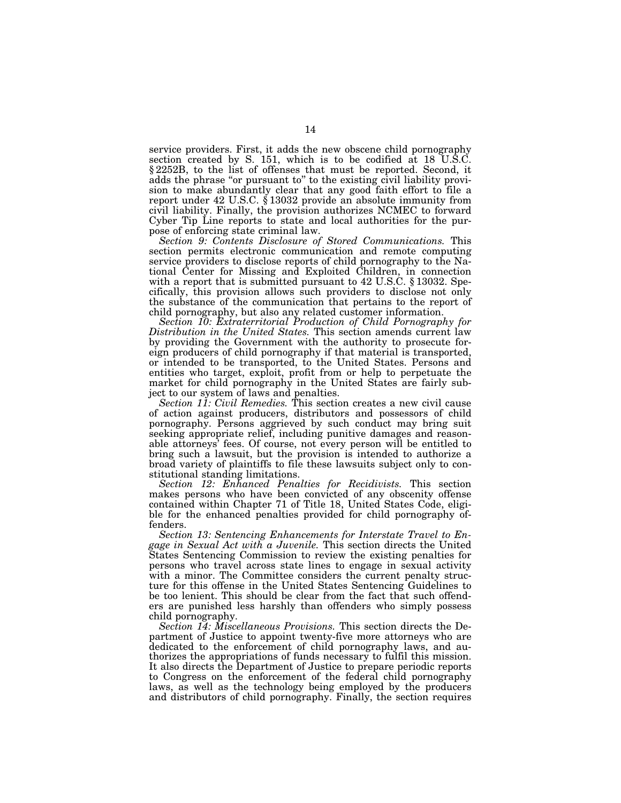service providers. First, it adds the new obscene child pornography section created by S. 151, which is to be codified at 18 U.S.C. § 2252B, to the list of offenses that must be reported. Second, it adds the phrase "or pursuant to" to the existing civil liability provision to make abundantly clear that any good faith effort to file a report under 42 U.S.C. § 13032 provide an absolute immunity from civil liability. Finally, the provision authorizes NCMEC to forward Cyber Tip Line reports to state and local authorities for the purpose of enforcing state criminal law.

*Section 9: Contents Disclosure of Stored Communications.* This section permits electronic communication and remote computing service providers to disclose reports of child pornography to the National Center for Missing and Exploited Children, in connection with a report that is submitted pursuant to 42 U.S.C. § 13032. Specifically, this provision allows such providers to disclose not only the substance of the communication that pertains to the report of child pornography, but also any related customer information.

*Section 10: Extraterritorial Production of Child Pornography for Distribution in the United States.* This section amends current law by providing the Government with the authority to prosecute foreign producers of child pornography if that material is transported, or intended to be transported, to the United States. Persons and entities who target, exploit, profit from or help to perpetuate the market for child pornography in the United States are fairly subject to our system of laws and penalties.

*Section 11: Civil Remedies.* This section creates a new civil cause of action against producers, distributors and possessors of child pornography. Persons aggrieved by such conduct may bring suit seeking appropriate relief, including punitive damages and reasonable attorneys' fees. Of course, not every person will be entitled to bring such a lawsuit, but the provision is intended to authorize a broad variety of plaintiffs to file these lawsuits subject only to constitutional standing limitations.

*Section 12: Enhanced Penalties for Recidivists.* This section makes persons who have been convicted of any obscenity offense contained within Chapter 71 of Title 18, United States Code, eligible for the enhanced penalties provided for child pornography offenders.

*Section 13: Sentencing Enhancements for Interstate Travel to Engage in Sexual Act with a Juvenile.* This section directs the United States Sentencing Commission to review the existing penalties for persons who travel across state lines to engage in sexual activity with a minor. The Committee considers the current penalty structure for this offense in the United States Sentencing Guidelines to be too lenient. This should be clear from the fact that such offenders are punished less harshly than offenders who simply possess child pornography.

*Section 14: Miscellaneous Provisions.* This section directs the Department of Justice to appoint twenty-five more attorneys who are dedicated to the enforcement of child pornography laws, and authorizes the appropriations of funds necessary to fulfil this mission. It also directs the Department of Justice to prepare periodic reports to Congress on the enforcement of the federal child pornography laws, as well as the technology being employed by the producers and distributors of child pornography. Finally, the section requires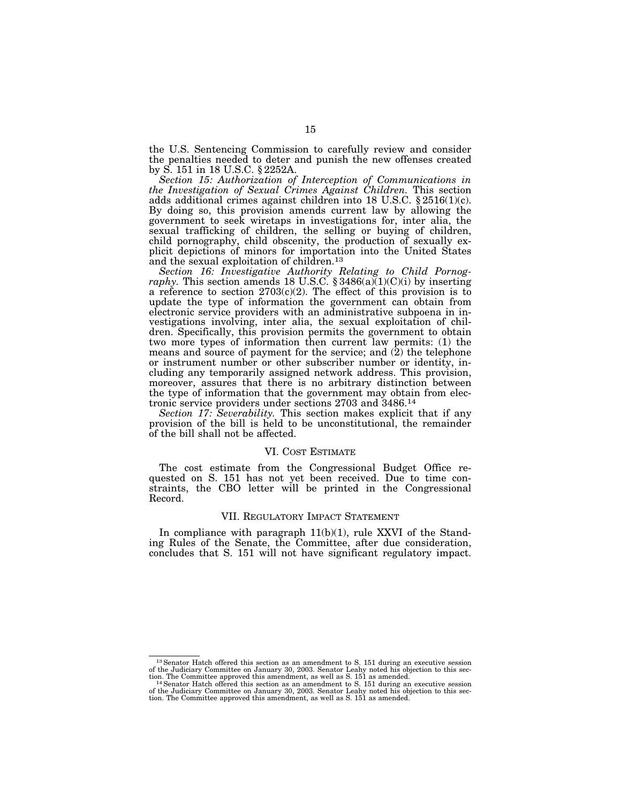the U.S. Sentencing Commission to carefully review and consider the penalties needed to deter and punish the new offenses created by S. 151 in 18 U.S.C. § 2252A.

*Section 15: Authorization of Interception of Communications in the Investigation of Sexual Crimes Against Children.* This section adds additional crimes against children into 18 U.S.C. § 2516(1)(c). By doing so, this provision amends current law by allowing the government to seek wiretaps in investigations for, inter alia, the sexual trafficking of children, the selling or buying of children, child pornography, child obscenity, the production of sexually explicit depictions of minors for importation into the United States and the sexual exploitation of children.13

*Section 16: Investigative Authority Relating to Child Pornography*. This section amends 18 U.S.C.  $\S 3486(a)(1)(C)(i)$  by inserting a reference to section  $2703(c)(2)$ . The effect of this provision is to update the type of information the government can obtain from electronic service providers with an administrative subpoena in investigations involving, inter alia, the sexual exploitation of children. Specifically, this provision permits the government to obtain two more types of information then current law permits: (1) the means and source of payment for the service; and (2) the telephone or instrument number or other subscriber number or identity, including any temporarily assigned network address. This provision, moreover, assures that there is no arbitrary distinction between the type of information that the government may obtain from electronic service providers under sections 2703 and 3486.14

*Section 17: Severability.* This section makes explicit that if any provision of the bill is held to be unconstitutional, the remainder of the bill shall not be affected.

# VI. COST ESTIMATE

The cost estimate from the Congressional Budget Office requested on S. 151 has not yet been received. Due to time constraints, the CBO letter will be printed in the Congressional Record.

# VII. REGULATORY IMPACT STATEMENT

In compliance with paragraph  $11(b)(1)$ , rule XXVI of the Standing Rules of the Senate, the Committee, after due consideration, concludes that S. 151 will not have significant regulatory impact.

<sup>&</sup>lt;sup>13</sup> Senator Hatch offered this section as an amendment to S. 151 during an executive session<br>of the Judiciary Committee on January 30, 2003. Senator Leahy noted his objection to this sec-<br>tion. The Committee approved thi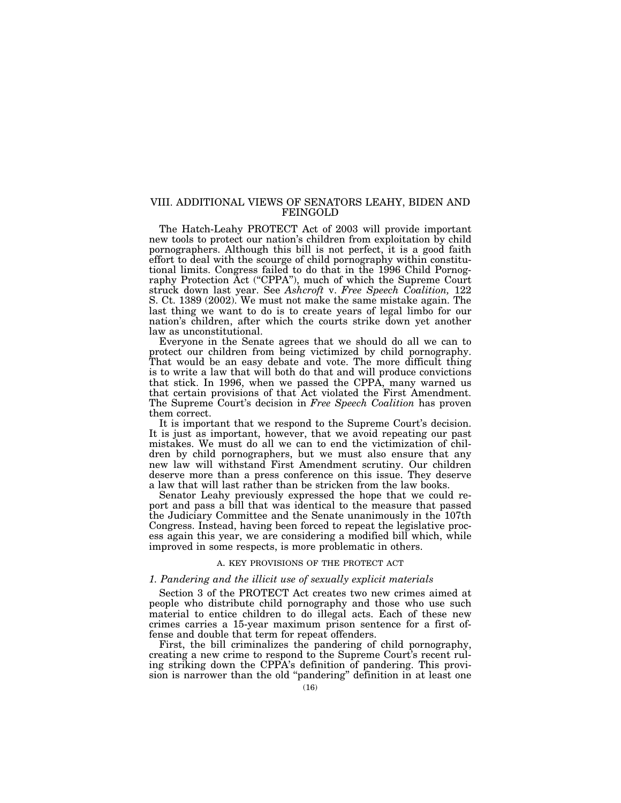# VIII. ADDITIONAL VIEWS OF SENATORS LEAHY, BIDEN AND FEINGOLD

The Hatch-Leahy PROTECT Act of 2003 will provide important new tools to protect our nation's children from exploitation by child pornographers. Although this bill is not perfect, it is a good faith effort to deal with the scourge of child pornography within constitutional limits. Congress failed to do that in the 1996 Child Pornography Protection Act ("CPPA"), much of which the Supreme Court struck down last year. See *Ashcroft* v. *Free Speech Coalition,* 122 S. Ct. 1389 (2002). We must not make the same mistake again. The last thing we want to do is to create years of legal limbo for our nation's children, after which the courts strike down yet another law as unconstitutional.

Everyone in the Senate agrees that we should do all we can to protect our children from being victimized by child pornography. That would be an easy debate and vote. The more difficult thing is to write a law that will both do that and will produce convictions that stick. In 1996, when we passed the CPPA, many warned us that certain provisions of that Act violated the First Amendment. The Supreme Court's decision in *Free Speech Coalition* has proven them correct.

It is important that we respond to the Supreme Court's decision. It is just as important, however, that we avoid repeating our past mistakes. We must do all we can to end the victimization of children by child pornographers, but we must also ensure that any new law will withstand First Amendment scrutiny. Our children deserve more than a press conference on this issue. They deserve a law that will last rather than be stricken from the law books.

Senator Leahy previously expressed the hope that we could report and pass a bill that was identical to the measure that passed the Judiciary Committee and the Senate unanimously in the 107th Congress. Instead, having been forced to repeat the legislative process again this year, we are considering a modified bill which, while improved in some respects, is more problematic in others.

#### A. KEY PROVISIONS OF THE PROTECT ACT

### *1. Pandering and the illicit use of sexually explicit materials*

Section 3 of the PROTECT Act creates two new crimes aimed at people who distribute child pornography and those who use such material to entice children to do illegal acts. Each of these new crimes carries a 15-year maximum prison sentence for a first offense and double that term for repeat offenders.

First, the bill criminalizes the pandering of child pornography, creating a new crime to respond to the Supreme Court's recent ruling striking down the CPPA's definition of pandering. This provision is narrower than the old ''pandering'' definition in at least one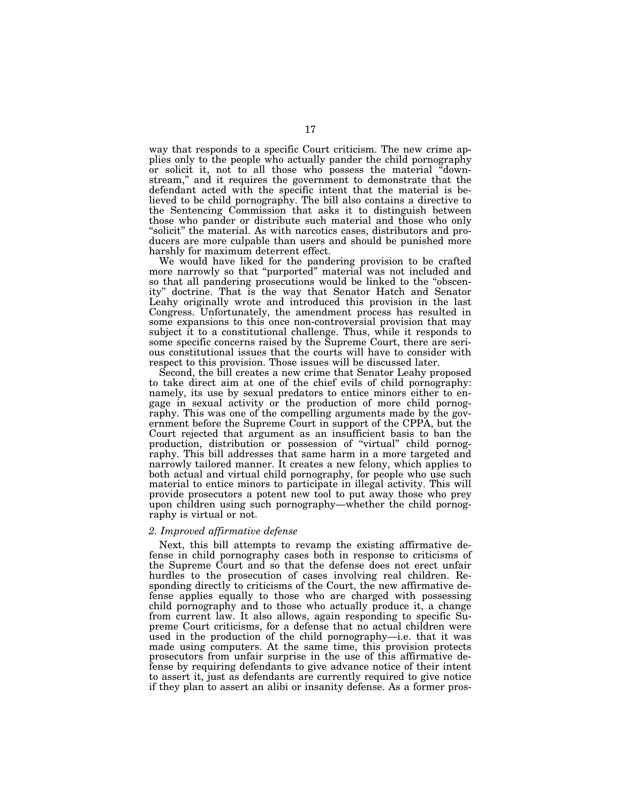way that responds to a specific Court criticism. The new crime applies only to the people who actually pander the child pornography or solicit it, not to all those who possess the material "downstream,'' and it requires the government to demonstrate that the defendant acted with the specific intent that the material is believed to be child pornography. The bill also contains a directive to the Sentencing Commission that asks it to distinguish between those who pander or distribute such material and those who only "solicit" the material. As with narcotics cases, distributors and producers are more culpable than users and should be punished more harshly for maximum deterrent effect.

We would have liked for the pandering provision to be crafted more narrowly so that ''purported'' material was not included and so that all pandering prosecutions would be linked to the ''obscenity'' doctrine. That is the way that Senator Hatch and Senator Leahy originally wrote and introduced this provision in the last Congress. Unfortunately, the amendment process has resulted in some expansions to this once non-controversial provision that may subject it to a constitutional challenge. Thus, while it responds to some specific concerns raised by the Supreme Court, there are serious constitutional issues that the courts will have to consider with respect to this provision. Those issues will be discussed later.

Second, the bill creates a new crime that Senator Leahy proposed to take direct aim at one of the chief evils of child pornography: namely, its use by sexual predators to entice minors either to engage in sexual activity or the production of more child pornography. This was one of the compelling arguments made by the government before the Supreme Court in support of the CPPA, but the Court rejected that argument as an insufficient basis to ban the production, distribution or possession of ''virtual'' child pornography. This bill addresses that same harm in a more targeted and narrowly tailored manner. It creates a new felony, which applies to both actual and virtual child pornography, for people who use such material to entice minors to participate in illegal activity. This will provide prosecutors a potent new tool to put away those who prey upon children using such pornography—whether the child pornography is virtual or not.

#### *2. Improved affirmative defense*

Next, this bill attempts to revamp the existing affirmative defense in child pornography cases both in response to criticisms of the Supreme Court and so that the defense does not erect unfair hurdles to the prosecution of cases involving real children. Responding directly to criticisms of the Court, the new affirmative defense applies equally to those who are charged with possessing child pornography and to those who actually produce it, a change from current law. It also allows, again responding to specific Supreme Court criticisms, for a defense that no actual children were used in the production of the child pornography—i.e. that it was made using computers. At the same time, this provision protects prosecutors from unfair surprise in the use of this affirmative defense by requiring defendants to give advance notice of their intent to assert it, just as defendants are currently required to give notice if they plan to assert an alibi or insanity defense. As a former pros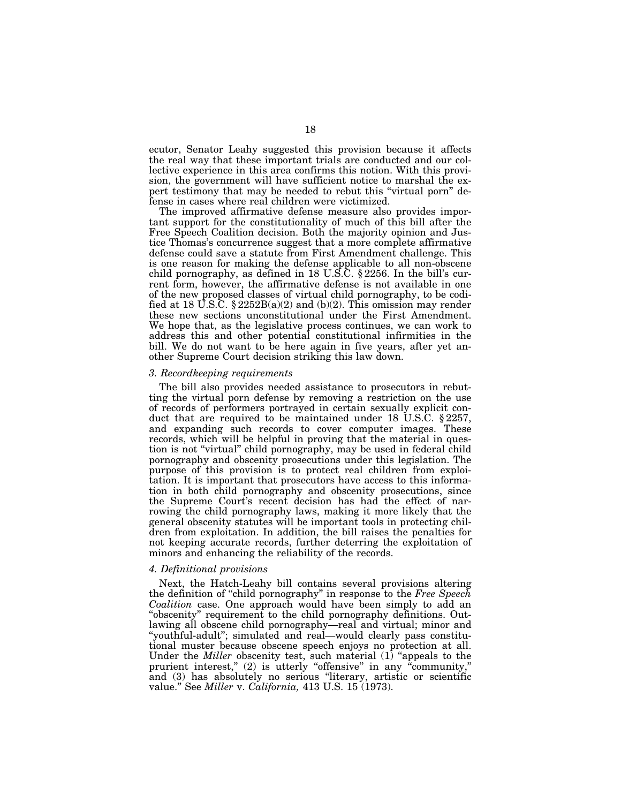ecutor, Senator Leahy suggested this provision because it affects the real way that these important trials are conducted and our collective experience in this area confirms this notion. With this provision, the government will have sufficient notice to marshal the expert testimony that may be needed to rebut this ''virtual porn'' defense in cases where real children were victimized.

The improved affirmative defense measure also provides important support for the constitutionality of much of this bill after the Free Speech Coalition decision. Both the majority opinion and Justice Thomas's concurrence suggest that a more complete affirmative defense could save a statute from First Amendment challenge. This is one reason for making the defense applicable to all non-obscene child pornography, as defined in 18 U.S.C. § 2256. In the bill's current form, however, the affirmative defense is not available in one of the new proposed classes of virtual child pornography, to be codified at 18 U.S.C.  $\S 2252B(a)(2)$  and (b)(2). This omission may render these new sections unconstitutional under the First Amendment. We hope that, as the legislative process continues, we can work to address this and other potential constitutional infirmities in the bill. We do not want to be here again in five years, after yet another Supreme Court decision striking this law down.

### *3. Recordkeeping requirements*

The bill also provides needed assistance to prosecutors in rebutting the virtual porn defense by removing a restriction on the use of records of performers portrayed in certain sexually explicit conduct that are required to be maintained under 18 U.S.C. § 2257, and expanding such records to cover computer images. These records, which will be helpful in proving that the material in question is not ''virtual'' child pornography, may be used in federal child pornography and obscenity prosecutions under this legislation. The purpose of this provision is to protect real children from exploitation. It is important that prosecutors have access to this information in both child pornography and obscenity prosecutions, since the Supreme Court's recent decision has had the effect of narrowing the child pornography laws, making it more likely that the general obscenity statutes will be important tools in protecting children from exploitation. In addition, the bill raises the penalties for not keeping accurate records, further deterring the exploitation of minors and enhancing the reliability of the records.

#### *4. Definitional provisions*

Next, the Hatch-Leahy bill contains several provisions altering the definition of ''child pornography'' in response to the *Free Speech Coalition* case. One approach would have been simply to add an "obscenity" requirement to the child pornography definitions. Outlawing all obscene child pornography—real and virtual; minor and ''youthful-adult''; simulated and real—would clearly pass constitutional muster because obscene speech enjoys no protection at all. Under the *Miller* obscenity test, such material (1) "appeals to the prurient interest," (2) is utterly "offensive" in any "community," and (3) has absolutely no serious "literary, artistic or scientific value.'' See *Miller* v. *California,* 413 U.S. 15 (1973).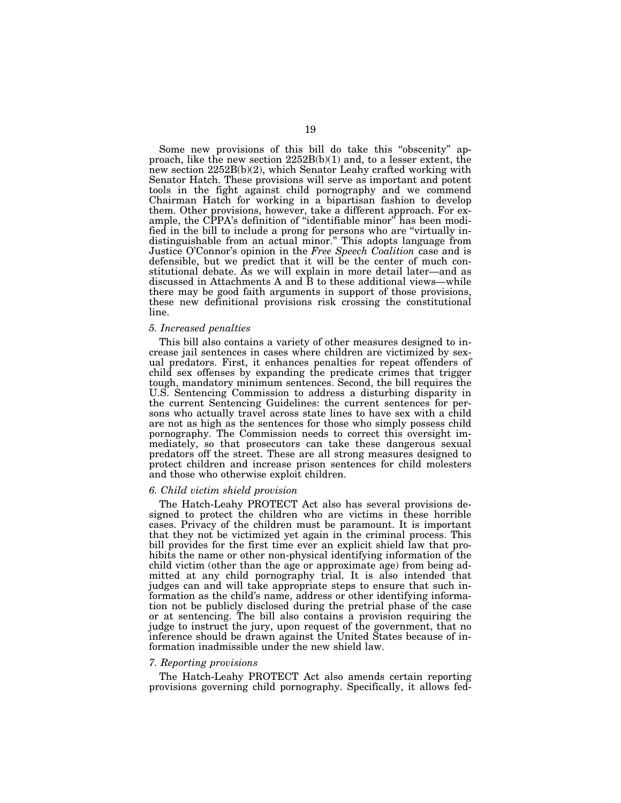Some new provisions of this bill do take this "obscenity" approach, like the new section  $2252B(b)(1)$  and, to a lesser extent, the new section 2252B(b)(2), which Senator Leahy crafted working with Senator Hatch. These provisions will serve as important and potent tools in the fight against child pornography and we commend Chairman Hatch for working in a bipartisan fashion to develop them. Other provisions, however, take a different approach. For example, the CPPA's definition of ''identifiable minor'' has been modified in the bill to include a prong for persons who are ''virtually indistinguishable from an actual minor.'' This adopts language from Justice O'Connor's opinion in the *Free Speech Coalition* case and is defensible, but we predict that it will be the center of much constitutional debate. As we will explain in more detail later—and as discussed in Attachments A and B to these additional views—while there may be good faith arguments in support of those provisions, these new definitional provisions risk crossing the constitutional line.

### *5. Increased penalties*

This bill also contains a variety of other measures designed to increase jail sentences in cases where children are victimized by sexual predators. First, it enhances penalties for repeat offenders of child sex offenses by expanding the predicate crimes that trigger tough, mandatory minimum sentences. Second, the bill requires the U.S. Sentencing Commission to address a disturbing disparity in the current Sentencing Guidelines: the current sentences for persons who actually travel across state lines to have sex with a child are not as high as the sentences for those who simply possess child pornography. The Commission needs to correct this oversight immediately, so that prosecutors can take these dangerous sexual predators off the street. These are all strong measures designed to protect children and increase prison sentences for child molesters and those who otherwise exploit children.

### *6. Child victim shield provision*

The Hatch-Leahy PROTECT Act also has several provisions designed to protect the children who are victims in these horrible cases. Privacy of the children must be paramount. It is important that they not be victimized yet again in the criminal process. This bill provides for the first time ever an explicit shield law that prohibits the name or other non-physical identifying information of the child victim (other than the age or approximate age) from being admitted at any child pornography trial. It is also intended that judges can and will take appropriate steps to ensure that such information as the child's name, address or other identifying information not be publicly disclosed during the pretrial phase of the case or at sentencing. The bill also contains a provision requiring the judge to instruct the jury, upon request of the government, that no inference should be drawn against the United States because of information inadmissible under the new shield law.

#### *7. Reporting provisions*

The Hatch-Leahy PROTECT Act also amends certain reporting provisions governing child pornography. Specifically, it allows fed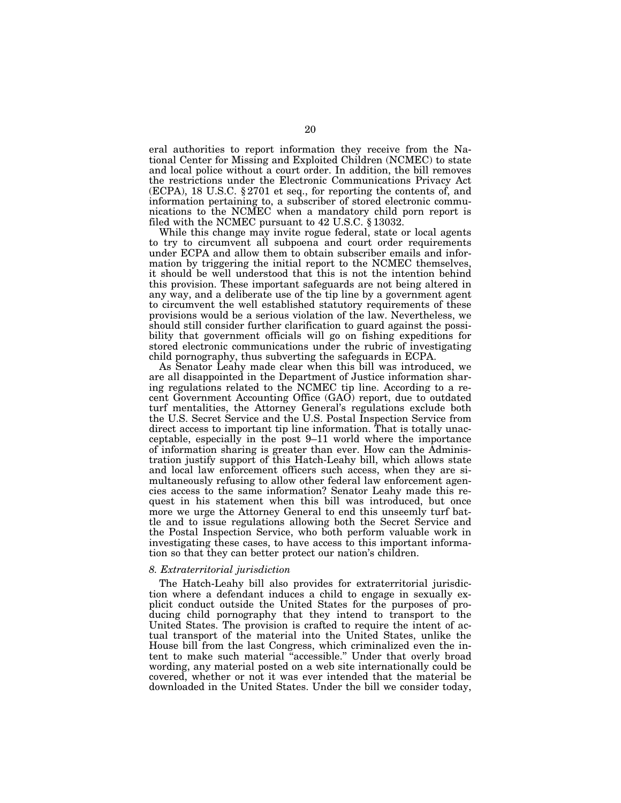eral authorities to report information they receive from the National Center for Missing and Exploited Children (NCMEC) to state and local police without a court order. In addition, the bill removes the restrictions under the Electronic Communications Privacy Act (ECPA), 18 U.S.C. § 2701 et seq., for reporting the contents of, and information pertaining to, a subscriber of stored electronic communications to the NCMEC when a mandatory child porn report is filed with the NCMEC pursuant to 42 U.S.C. § 13032.

While this change may invite rogue federal, state or local agents to try to circumvent all subpoena and court order requirements under ECPA and allow them to obtain subscriber emails and information by triggering the initial report to the NCMEC themselves, it should be well understood that this is not the intention behind this provision. These important safeguards are not being altered in any way, and a deliberate use of the tip line by a government agent to circumvent the well established statutory requirements of these provisions would be a serious violation of the law. Nevertheless, we should still consider further clarification to guard against the possibility that government officials will go on fishing expeditions for stored electronic communications under the rubric of investigating child pornography, thus subverting the safeguards in ECPA.

As Senator Leahy made clear when this bill was introduced, we are all disappointed in the Department of Justice information sharing regulations related to the NCMEC tip line. According to a recent Government Accounting Office (GAO) report, due to outdated turf mentalities, the Attorney General's regulations exclude both the U.S. Secret Service and the U.S. Postal Inspection Service from direct access to important tip line information. That is totally unacceptable, especially in the post 9–11 world where the importance of information sharing is greater than ever. How can the Administration justify support of this Hatch-Leahy bill, which allows state and local law enforcement officers such access, when they are simultaneously refusing to allow other federal law enforcement agencies access to the same information? Senator Leahy made this request in his statement when this bill was introduced, but once more we urge the Attorney General to end this unseemly turf battle and to issue regulations allowing both the Secret Service and the Postal Inspection Service, who both perform valuable work in investigating these cases, to have access to this important information so that they can better protect our nation's children.

#### *8. Extraterritorial jurisdiction*

The Hatch-Leahy bill also provides for extraterritorial jurisdiction where a defendant induces a child to engage in sexually explicit conduct outside the United States for the purposes of producing child pornography that they intend to transport to the United States. The provision is crafted to require the intent of actual transport of the material into the United States, unlike the House bill from the last Congress, which criminalized even the intent to make such material ''accessible.'' Under that overly broad wording, any material posted on a web site internationally could be covered, whether or not it was ever intended that the material be downloaded in the United States. Under the bill we consider today,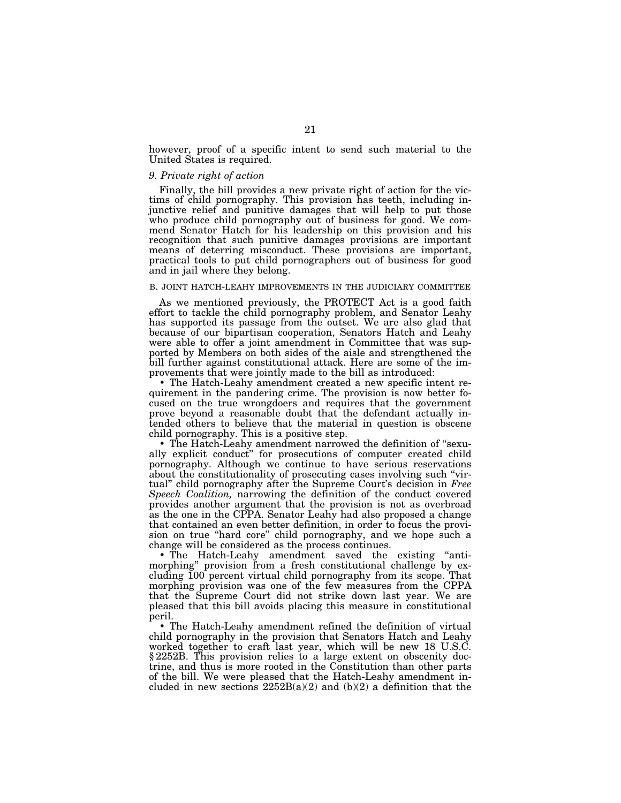however, proof of a specific intent to send such material to the United States is required.

#### *9. Private right of action*

Finally, the bill provides a new private right of action for the victims of child pornography. This provision has teeth, including injunctive relief and punitive damages that will help to put those who produce child pornography out of business for good. We commend Senator Hatch for his leadership on this provision and his recognition that such punitive damages provisions are important means of deterring misconduct. These provisions are important, practical tools to put child pornographers out of business for good and in jail where they belong.

### B. JOINT HATCH-LEAHY IMPROVEMENTS IN THE JUDICIARY COMMITTEE

As we mentioned previously, the PROTECT Act is a good faith effort to tackle the child pornography problem, and Senator Leahy has supported its passage from the outset. We are also glad that because of our bipartisan cooperation, Senators Hatch and Leahy were able to offer a joint amendment in Committee that was supported by Members on both sides of the aisle and strengthened the bill further against constitutional attack. Here are some of the improvements that were jointly made to the bill as introduced:

• The Hatch-Leahy amendment created a new specific intent requirement in the pandering crime. The provision is now better focused on the true wrongdoers and requires that the government prove beyond a reasonable doubt that the defendant actually intended others to believe that the material in question is obscene child pornography. This is a positive step.

• The Hatch-Leahy amendment narrowed the definition of ''sexually explicit conduct'' for prosecutions of computer created child pornography. Although we continue to have serious reservations about the constitutionality of prosecuting cases involving such ''virtual'' child pornography after the Supreme Court's decision in *Free Speech Coalition,* narrowing the definition of the conduct covered provides another argument that the provision is not as overbroad as the one in the CPPA. Senator Leahy had also proposed a change that contained an even better definition, in order to focus the provision on true "hard core" child pornography, and we hope such a change will be considered as the process continues.

• The Hatch-Leahy amendment saved the existing "antimorphing'' provision from a fresh constitutional challenge by excluding 100 percent virtual child pornography from its scope. That morphing provision was one of the few measures from the CPPA that the Supreme Court did not strike down last year. We are pleased that this bill avoids placing this measure in constitutional peril.

• The Hatch-Leahy amendment refined the definition of virtual child pornography in the provision that Senators Hatch and Leahy worked together to craft last year, which will be new 18 U.S.C. § 2252B. This provision relies to a large extent on obscenity doctrine, and thus is more rooted in the Constitution than other parts of the bill. We were pleased that the Hatch-Leahy amendment included in new sections  $2252B(a)(2)$  and  $(b)(2)$  a definition that the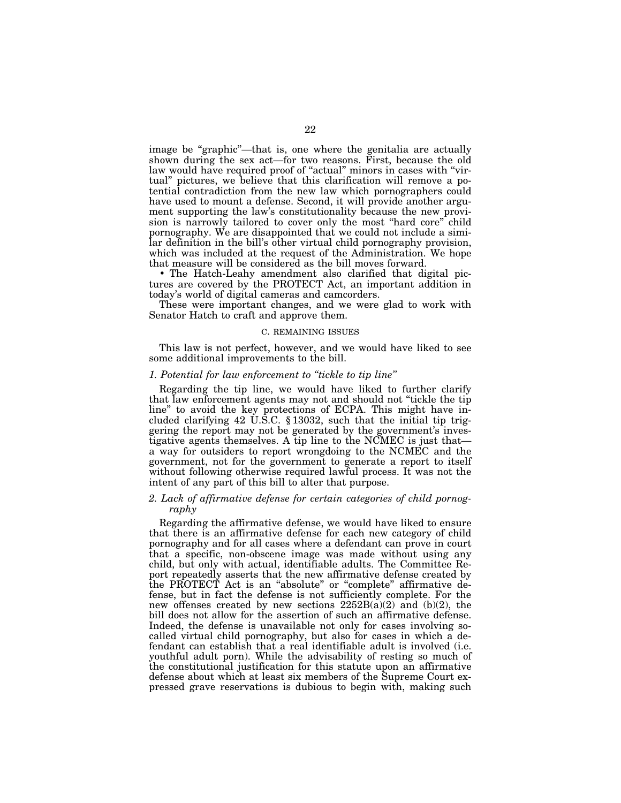image be "graphic"—that is, one where the genitalia are actually shown during the sex act—for two reasons. First, because the old law would have required proof of "actual" minors in cases with "virtual'' pictures, we believe that this clarification will remove a potential contradiction from the new law which pornographers could have used to mount a defense. Second, it will provide another argument supporting the law's constitutionality because the new provision is narrowly tailored to cover only the most "hard core" child pornography. We are disappointed that we could not include a similar definition in the bill's other virtual child pornography provision, which was included at the request of the Administration. We hope that measure will be considered as the bill moves forward.

• The Hatch-Leahy amendment also clarified that digital pictures are covered by the PROTECT Act, an important addition in today's world of digital cameras and camcorders.

These were important changes, and we were glad to work with Senator Hatch to craft and approve them.

#### C. REMAINING ISSUES

This law is not perfect, however, and we would have liked to see some additional improvements to the bill.

#### *1. Potential for law enforcement to ''tickle to tip line''*

Regarding the tip line, we would have liked to further clarify that law enforcement agents may not and should not ''tickle the tip line'' to avoid the key protections of ECPA. This might have included clarifying 42 U.S.C. § 13032, such that the initial tip triggering the report may not be generated by the government's investigative agents themselves. A tip line to the NCMEC is just that a way for outsiders to report wrongdoing to the NCMEC and the government, not for the government to generate a report to itself without following otherwise required lawful process. It was not the intent of any part of this bill to alter that purpose.

# *2. Lack of affirmative defense for certain categories of child pornography*

Regarding the affirmative defense, we would have liked to ensure that there is an affirmative defense for each new category of child pornography and for all cases where a defendant can prove in court that a specific, non-obscene image was made without using any child, but only with actual, identifiable adults. The Committee Report repeatedly asserts that the new affirmative defense created by the PROTECT Act is an ''absolute'' or ''complete'' affirmative defense, but in fact the defense is not sufficiently complete. For the new offenses created by new sections  $2252B(a)(2)$  and  $(b)(2)$ , the bill does not allow for the assertion of such an affirmative defense. Indeed, the defense is unavailable not only for cases involving socalled virtual child pornography, but also for cases in which a defendant can establish that a real identifiable adult is involved (i.e. youthful adult porn). While the advisability of resting so much of the constitutional justification for this statute upon an affirmative defense about which at least six members of the Supreme Court expressed grave reservations is dubious to begin with, making such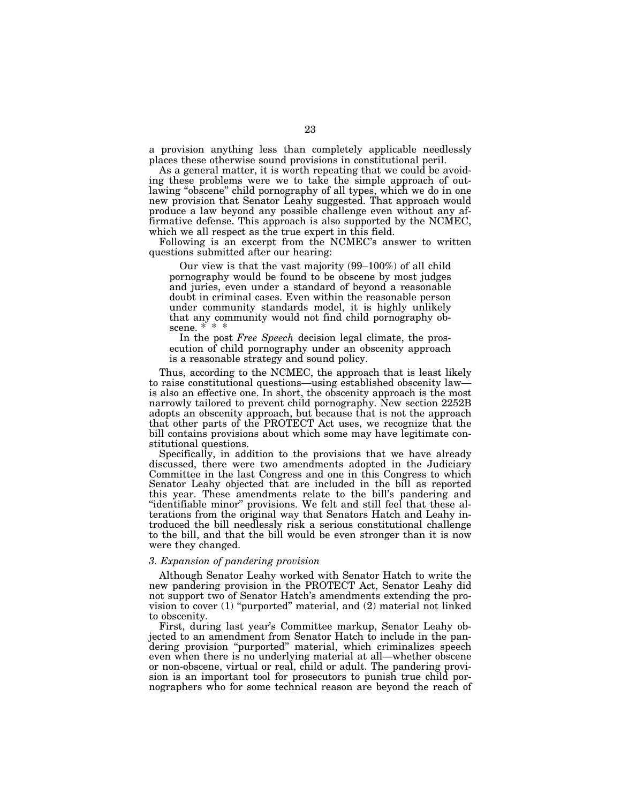a provision anything less than completely applicable needlessly places these otherwise sound provisions in constitutional peril.

As a general matter, it is worth repeating that we could be avoiding these problems were we to take the simple approach of outlawing "obscene" child pornography of all types, which we do in one new provision that Senator Leahy suggested. That approach would produce a law beyond any possible challenge even without any affirmative defense. This approach is also supported by the NCMEC, which we all respect as the true expert in this field.

Following is an excerpt from the NCMEC's answer to written questions submitted after our hearing:

Our view is that the vast majority (99–100%) of all child pornography would be found to be obscene by most judges and juries, even under a standard of beyond a reasonable doubt in criminal cases. Even within the reasonable person under community standards model, it is highly unlikely that any community would not find child pornography obscene.  $* * *$ 

In the post *Free Speech* decision legal climate, the prosecution of child pornography under an obscenity approach is a reasonable strategy and sound policy.

Thus, according to the NCMEC, the approach that is least likely to raise constitutional questions—using established obscenity law is also an effective one. In short, the obscenity approach is the most narrowly tailored to prevent child pornography. New section 2252B adopts an obscenity approach, but because that is not the approach that other parts of the PROTECT Act uses, we recognize that the bill contains provisions about which some may have legitimate constitutional questions.

Specifically, in addition to the provisions that we have already discussed, there were two amendments adopted in the Judiciary Committee in the last Congress and one in this Congress to which Senator Leahy objected that are included in the bill as reported this year. These amendments relate to the bill's pandering and ''identifiable minor'' provisions. We felt and still feel that these alterations from the original way that Senators Hatch and Leahy introduced the bill needlessly risk a serious constitutional challenge to the bill, and that the bill would be even stronger than it is now were they changed.

### *3. Expansion of pandering provision*

Although Senator Leahy worked with Senator Hatch to write the new pandering provision in the PROTECT Act, Senator Leahy did not support two of Senator Hatch's amendments extending the provision to cover  $(1)$  "purported" material, and  $(2)$  material not linked to obscenity.

First, during last year's Committee markup, Senator Leahy objected to an amendment from Senator Hatch to include in the pandering provision ''purported'' material, which criminalizes speech even when there is no underlying material at all—whether obscene or non-obscene, virtual or real, child or adult. The pandering provision is an important tool for prosecutors to punish true child pornographers who for some technical reason are beyond the reach of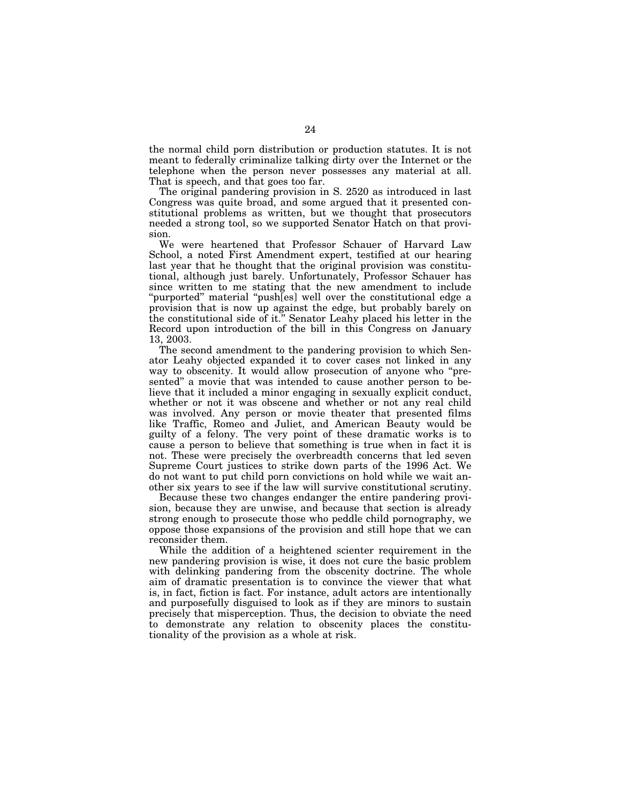the normal child porn distribution or production statutes. It is not meant to federally criminalize talking dirty over the Internet or the telephone when the person never possesses any material at all. That is speech, and that goes too far.

The original pandering provision in S. 2520 as introduced in last Congress was quite broad, and some argued that it presented constitutional problems as written, but we thought that prosecutors needed a strong tool, so we supported Senator Hatch on that provision.

We were heartened that Professor Schauer of Harvard Law School, a noted First Amendment expert, testified at our hearing last year that he thought that the original provision was constitutional, although just barely. Unfortunately, Professor Schauer has since written to me stating that the new amendment to include ''purported'' material ''push[es] well over the constitutional edge a provision that is now up against the edge, but probably barely on the constitutional side of it.'' Senator Leahy placed his letter in the Record upon introduction of the bill in this Congress on January 13, 2003.

The second amendment to the pandering provision to which Senator Leahy objected expanded it to cover cases not linked in any way to obscenity. It would allow prosecution of anyone who "presented'' a movie that was intended to cause another person to believe that it included a minor engaging in sexually explicit conduct, whether or not it was obscene and whether or not any real child was involved. Any person or movie theater that presented films like Traffic, Romeo and Juliet, and American Beauty would be guilty of a felony. The very point of these dramatic works is to cause a person to believe that something is true when in fact it is not. These were precisely the overbreadth concerns that led seven Supreme Court justices to strike down parts of the 1996 Act. We do not want to put child porn convictions on hold while we wait another six years to see if the law will survive constitutional scrutiny.

Because these two changes endanger the entire pandering provision, because they are unwise, and because that section is already strong enough to prosecute those who peddle child pornography, we oppose those expansions of the provision and still hope that we can reconsider them.

While the addition of a heightened scienter requirement in the new pandering provision is wise, it does not cure the basic problem with delinking pandering from the obscenity doctrine. The whole aim of dramatic presentation is to convince the viewer that what is, in fact, fiction is fact. For instance, adult actors are intentionally and purposefully disguised to look as if they are minors to sustain precisely that misperception. Thus, the decision to obviate the need to demonstrate any relation to obscenity places the constitutionality of the provision as a whole at risk.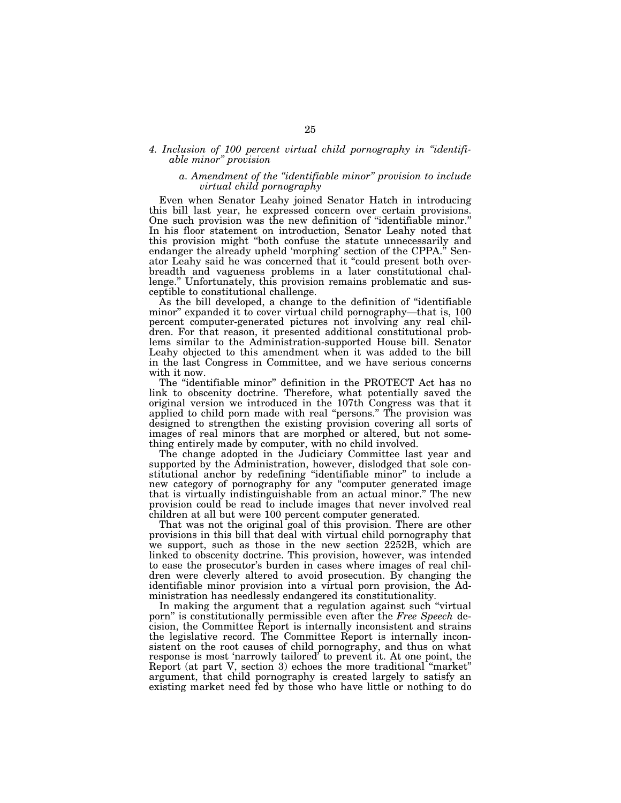# *4. Inclusion of 100 percent virtual child pornography in ''identifiable minor'' provision*

# *a. Amendment of the ''identifiable minor'' provision to include virtual child pornography*

Even when Senator Leahy joined Senator Hatch in introducing this bill last year, he expressed concern over certain provisions. One such provision was the new definition of ''identifiable minor.'' In his floor statement on introduction, Senator Leahy noted that this provision might ''both confuse the statute unnecessarily and endanger the already upheld 'morphing' section of the CPPA.'' Senator Leahy said he was concerned that it ''could present both overbreadth and vagueness problems in a later constitutional challenge.'' Unfortunately, this provision remains problematic and susceptible to constitutional challenge.

As the bill developed, a change to the definition of ''identifiable minor'' expanded it to cover virtual child pornography—that is, 100 percent computer-generated pictures not involving any real children. For that reason, it presented additional constitutional problems similar to the Administration-supported House bill. Senator Leahy objected to this amendment when it was added to the bill in the last Congress in Committee, and we have serious concerns with it now.

The "identifiable minor" definition in the PROTECT Act has no link to obscenity doctrine. Therefore, what potentially saved the original version we introduced in the 107th Congress was that it applied to child porn made with real ''persons.'' The provision was designed to strengthen the existing provision covering all sorts of images of real minors that are morphed or altered, but not something entirely made by computer, with no child involved.

The change adopted in the Judiciary Committee last year and supported by the Administration, however, dislodged that sole constitutional anchor by redefining ''identifiable minor'' to include a new category of pornography for any ''computer generated image that is virtually indistinguishable from an actual minor.'' The new provision could be read to include images that never involved real children at all but were 100 percent computer generated.

That was not the original goal of this provision. There are other provisions in this bill that deal with virtual child pornography that we support, such as those in the new section  $2252B$ , which are linked to obscenity doctrine. This provision, however, was intended to ease the prosecutor's burden in cases where images of real children were cleverly altered to avoid prosecution. By changing the identifiable minor provision into a virtual porn provision, the Administration has needlessly endangered its constitutionality.

In making the argument that a regulation against such ''virtual porn'' is constitutionally permissible even after the *Free Speech* decision, the Committee Report is internally inconsistent and strains the legislative record. The Committee Report is internally inconsistent on the root causes of child pornography, and thus on what response is most 'narrowly tailored' to prevent it. At one point, the Report (at part V, section 3) echoes the more traditional ''market'' argument, that child pornography is created largely to satisfy an existing market need fed by those who have little or nothing to do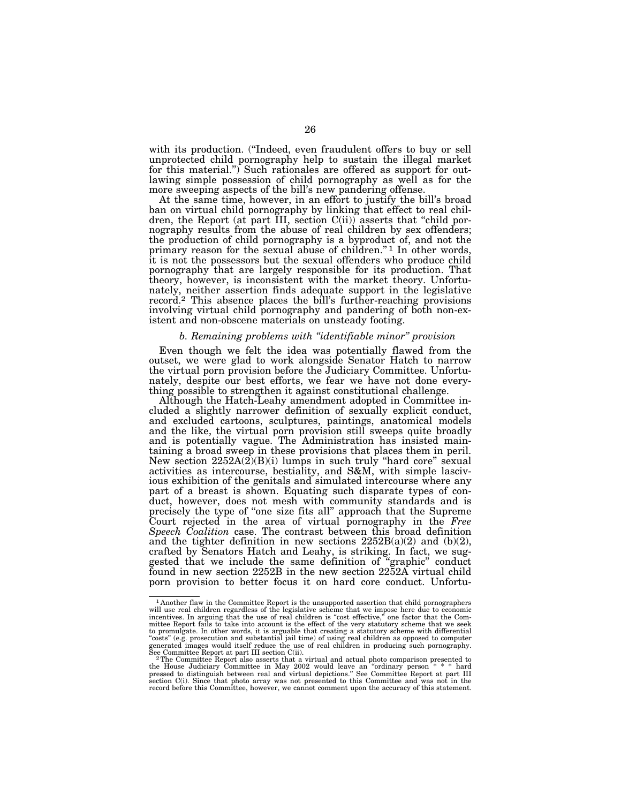with its production. ("Indeed, even fraudulent offers to buy or sell unprotected child pornography help to sustain the illegal market for this material.'') Such rationales are offered as support for outlawing simple possession of child pornography as well as for the more sweeping aspects of the bill's new pandering offense.

At the same time, however, in an effort to justify the bill's broad ban on virtual child pornography by linking that effect to real children, the Report (at part III, section C(ii)) asserts that ''child pornography results from the abuse of real children by sex offenders; the production of child pornography is a byproduct of, and not the primary reason for the sexual abuse of children."<sup>1</sup> In other words, it is not the possessors but the sexual offenders who produce child pornography that are largely responsible for its production. That theory, however, is inconsistent with the market theory. Unfortunately, neither assertion finds adequate support in the legislative record.2 This absence places the bill's further-reaching provisions involving virtual child pornography and pandering of both non-existent and non-obscene materials on unsteady footing.

### *b. Remaining problems with ''identifiable minor'' provision*

Even though we felt the idea was potentially flawed from the outset, we were glad to work alongside Senator Hatch to narrow the virtual porn provision before the Judiciary Committee. Unfortunately, despite our best efforts, we fear we have not done everything possible to strengthen it against constitutional challenge.

Although the Hatch-Leahy amendment adopted in Committee included a slightly narrower definition of sexually explicit conduct, and excluded cartoons, sculptures, paintings, anatomical models and the like, the virtual porn provision still sweeps quite broadly and is potentially vague. The Administration has insisted maintaining a broad sweep in these provisions that places them in peril. New section 2252A(2)(B)(i) lumps in such truly ''hard core'' sexual activities as intercourse, bestiality, and S&M, with simple lascivious exhibition of the genitals and simulated intercourse where any part of a breast is shown. Equating such disparate types of conduct, however, does not mesh with community standards and is precisely the type of ''one size fits all'' approach that the Supreme Court rejected in the area of virtual pornography in the *Free Speech Coalition* case. The contrast between this broad definition and the tighter definition in new sections  $2252B(a)(2)$  and  $(b)(2)$ , crafted by Senators Hatch and Leahy, is striking. In fact, we suggested that we include the same definition of ''graphic'' conduct found in new section 2252B in the new section 2252A virtual child porn provision to better focus it on hard core conduct. Unfortu-

<sup>1</sup> Another flaw in the Committee Report is the unsupported assertion that child pornographers will use real children regardless of the legislative scheme that we impose here due to economic incentives. In arguing that the use of real children is ''cost effective,'' one factor that the Com-mittee Report fails to take into account is the effect of the very statutory scheme that we seek to promulgate. In other words, it is arguable that creating a statutory scheme with differential "costs" (e.g. prosecution and substantial jail time) of using real children as opposed to computer<br>generated images would itself reduce the use of real children in producing such pornography.<br>See Committee Report at part I

the House Judiciary Committee in May 2002 would leave an ''ordinary person \* \* \* hard pressed to distinguish between real and virtual depictions.'' See Committee Report at part III section C(i). Since that photo array was not presented to this Committee and was not in the record before this Committee, however, we cannot comment upon the accuracy of this statement.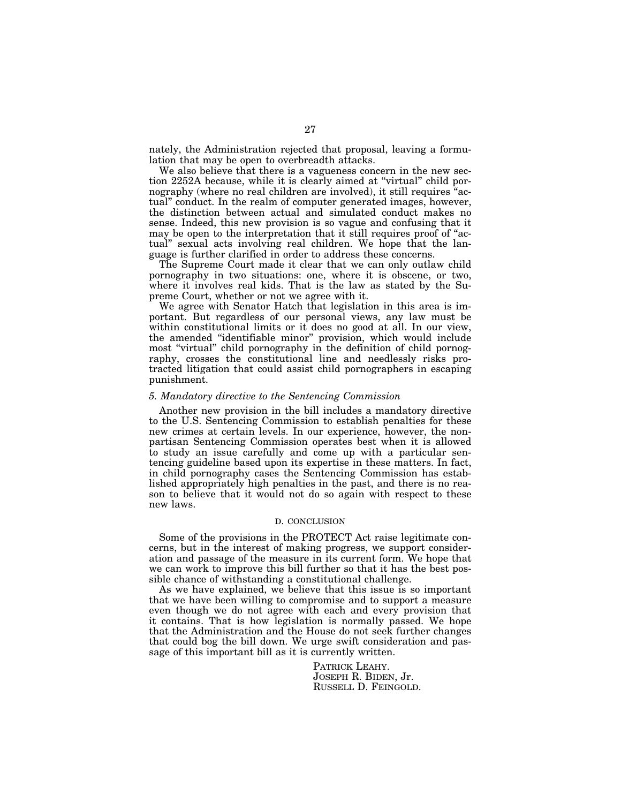nately, the Administration rejected that proposal, leaving a formulation that may be open to overbreadth attacks.

We also believe that there is a vagueness concern in the new section 2252A because, while it is clearly aimed at ''virtual'' child pornography (where no real children are involved), it still requires "actual'' conduct. In the realm of computer generated images, however, the distinction between actual and simulated conduct makes no sense. Indeed, this new provision is so vague and confusing that it may be open to the interpretation that it still requires proof of "actual'' sexual acts involving real children. We hope that the language is further clarified in order to address these concerns.

The Supreme Court made it clear that we can only outlaw child pornography in two situations: one, where it is obscene, or two, where it involves real kids. That is the law as stated by the Supreme Court, whether or not we agree with it.

We agree with Senator Hatch that legislation in this area is important. But regardless of our personal views, any law must be within constitutional limits or it does no good at all. In our view, the amended ''identifiable minor'' provision, which would include most ''virtual'' child pornography in the definition of child pornography, crosses the constitutional line and needlessly risks protracted litigation that could assist child pornographers in escaping punishment.

### *5. Mandatory directive to the Sentencing Commission*

Another new provision in the bill includes a mandatory directive to the U.S. Sentencing Commission to establish penalties for these new crimes at certain levels. In our experience, however, the nonpartisan Sentencing Commission operates best when it is allowed to study an issue carefully and come up with a particular sentencing guideline based upon its expertise in these matters. In fact, in child pornography cases the Sentencing Commission has established appropriately high penalties in the past, and there is no reason to believe that it would not do so again with respect to these new laws.

#### D. CONCLUSION

Some of the provisions in the PROTECT Act raise legitimate concerns, but in the interest of making progress, we support consideration and passage of the measure in its current form. We hope that we can work to improve this bill further so that it has the best possible chance of withstanding a constitutional challenge.

As we have explained, we believe that this issue is so important that we have been willing to compromise and to support a measure even though we do not agree with each and every provision that it contains. That is how legislation is normally passed. We hope that the Administration and the House do not seek further changes that could bog the bill down. We urge swift consideration and passage of this important bill as it is currently written.

> PATRICK LEAHY. JOSEPH R. BIDEN, Jr. RUSSELL D. FEINGOLD.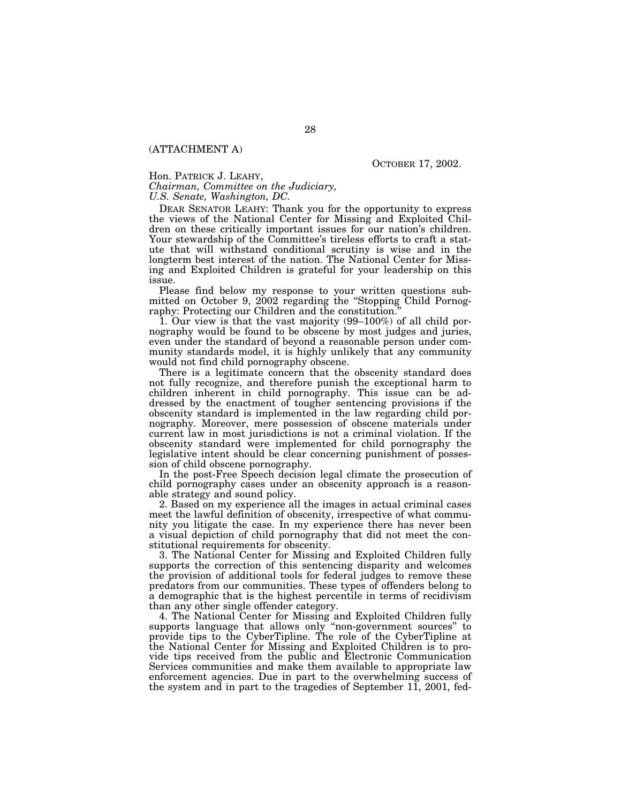OCTOBER 17, 2002.

Hon. PATRICK J. LEAHY,

*Chairman, Committee on the Judiciary, U.S. Senate, Washington, DC.* 

DEAR SENATOR LEAHY: Thank you for the opportunity to express the views of the National Center for Missing and Exploited Children on these critically important issues for our nation's children. Your stewardship of the Committee's tireless efforts to craft a statute that will withstand conditional scrutiny is wise and in the longterm best interest of the nation. The National Center for Missing and Exploited Children is grateful for your leadership on this issue.

Please find below my response to your written questions submitted on October 9, 2002 regarding the "Stopping Child Pornography: Protecting our Children and the constitution.''

1. Our view is that the vast majority (99–100%) of all child pornography would be found to be obscene by most judges and juries, even under the standard of beyond a reasonable person under community standards model, it is highly unlikely that any community would not find child pornography obscene.

There is a legitimate concern that the obscenity standard does not fully recognize, and therefore punish the exceptional harm to children inherent in child pornography. This issue can be addressed by the enactment of tougher sentencing provisions if the obscenity standard is implemented in the law regarding child pornography. Moreover, mere possession of obscene materials under current law in most jurisdictions is not a criminal violation. If the obscenity standard were implemented for child pornography the legislative intent should be clear concerning punishment of possession of child obscene pornography.

In the post-Free Speech decision legal climate the prosecution of child pornography cases under an obscenity approach is a reasonable strategy and sound policy.

2. Based on my experience all the images in actual criminal cases meet the lawful definition of obscenity, irrespective of what community you litigate the case. In my experience there has never been a visual depiction of child pornography that did not meet the constitutional requirements for obscenity.

3. The National Center for Missing and Exploited Children fully supports the correction of this sentencing disparity and welcomes the provision of additional tools for federal judges to remove these predators from our communities. These types of offenders belong to a demographic that is the highest percentile in terms of recidivism than any other single offender category.

4. The National Center for Missing and Exploited Children fully supports language that allows only ''non-government sources'' to provide tips to the CyberTipline. The role of the CyberTipline at the National Center for Missing and Exploited Children is to provide tips received from the public and Electronic Communication Services communities and make them available to appropriate law enforcement agencies. Due in part to the overwhelming success of the system and in part to the tragedies of September 11, 2001, fed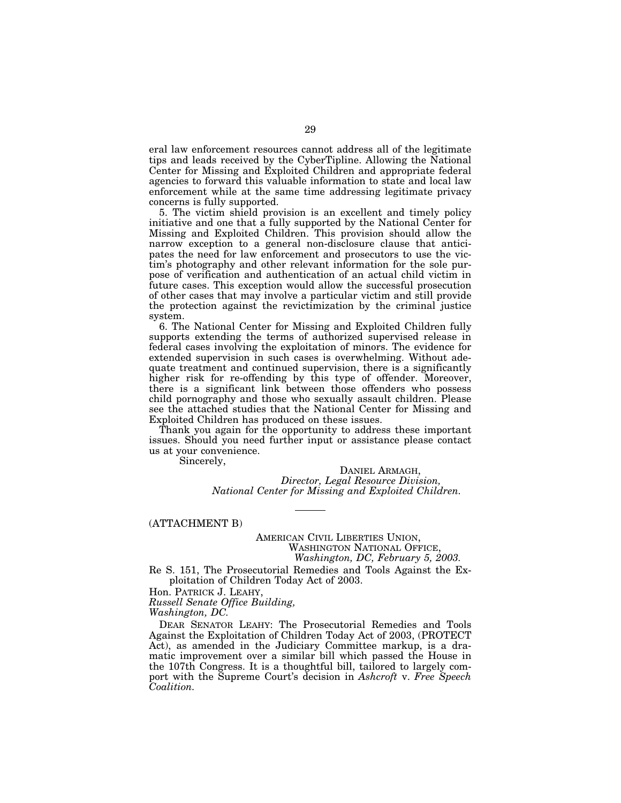eral law enforcement resources cannot address all of the legitimate tips and leads received by the CyberTipline. Allowing the National Center for Missing and Exploited Children and appropriate federal agencies to forward this valuable information to state and local law enforcement while at the same time addressing legitimate privacy concerns is fully supported.

5. The victim shield provision is an excellent and timely policy initiative and one that a fully supported by the National Center for Missing and Exploited Children. This provision should allow the narrow exception to a general non-disclosure clause that anticipates the need for law enforcement and prosecutors to use the victim's photography and other relevant information for the sole purpose of verification and authentication of an actual child victim in future cases. This exception would allow the successful prosecution of other cases that may involve a particular victim and still provide the protection against the revictimization by the criminal justice system.

6. The National Center for Missing and Exploited Children fully supports extending the terms of authorized supervised release in federal cases involving the exploitation of minors. The evidence for extended supervision in such cases is overwhelming. Without adequate treatment and continued supervision, there is a significantly higher risk for re-offending by this type of offender. Moreover, there is a significant link between those offenders who possess child pornography and those who sexually assault children. Please see the attached studies that the National Center for Missing and Exploited Children has produced on these issues.

Thank you again for the opportunity to address these important issues. Should you need further input or assistance please contact us at your convenience.

Sincerely,

DANIEL ARMAGH, *Director, Legal Resource Division, National Center for Missing and Exploited Children.* 

(ATTACHMENT B)

AMERICAN CIVIL LIBERTIES UNION, WASHINGTON NATIONAL OFFICE, *Washington, DC, February 5, 2003.* 

Re S. 151, The Prosecutorial Remedies and Tools Against the Exploitation of Children Today Act of 2003.

Hon. PATRICK J. LEAHY, *Russell Senate Office Building, Washington, DC.* 

DEAR SENATOR LEAHY: The Prosecutorial Remedies and Tools Against the Exploitation of Children Today Act of 2003, (PROTECT Act), as amended in the Judiciary Committee markup, is a dramatic improvement over a similar bill which passed the House in the 107th Congress. It is a thoughtful bill, tailored to largely comport with the Supreme Court's decision in *Ashcroft* v. *Free Speech Coalition.*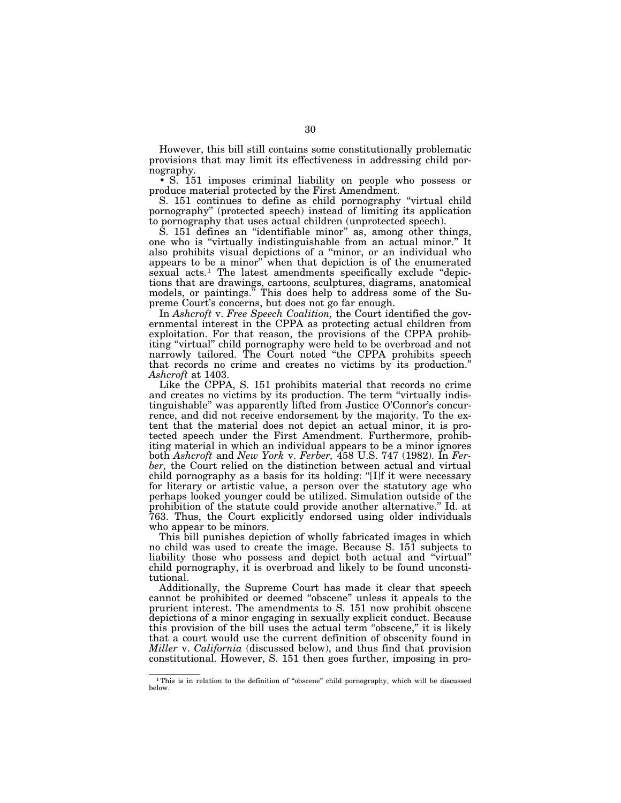However, this bill still contains some constitutionally problematic provisions that may limit its effectiveness in addressing child pornography.

• S. 151 imposes criminal liability on people who possess or produce material protected by the First Amendment.

S. 151 continues to define as child pornography ''virtual child pornography'' (protected speech) instead of limiting its application to pornography that uses actual children (unprotected speech).

S. 151 defines an ''identifiable minor'' as, among other things, one who is ''virtually indistinguishable from an actual minor.'' It also prohibits visual depictions of a ''minor, or an individual who appears to be a minor'' when that depiction is of the enumerated sexual acts.<sup>1</sup> The latest amendments specifically exclude "depictions that are drawings, cartoons, sculptures, diagrams, anatomical models, or paintings." This does help to address some of the Supreme Court's concerns, but does not go far enough.

In *Ashcroft* v. *Free Speech Coalition,* the Court identified the governmental interest in the CPPA as protecting actual children from exploitation. For that reason, the provisions of the CPPA prohibiting "virtual" child pornography were held to be overbroad and not narrowly tailored. The Court noted "the CPPA prohibits speech that records no crime and creates no victims by its production.'' *Ashcroft* at 1403.

Like the CPPA, S. 151 prohibits material that records no crime and creates no victims by its production. The term "virtually indistinguishable'' was apparently lifted from Justice O'Connor's concurrence, and did not receive endorsement by the majority. To the extent that the material does not depict an actual minor, it is protected speech under the First Amendment. Furthermore, prohibiting material in which an individual appears to be a minor ignores both *Ashcroft* and *New York* v. *Ferber,* 458 U.S. 747 (1982). In *Ferber,* the Court relied on the distinction between actual and virtual child pornography as a basis for its holding: ''[I]f it were necessary for literary or artistic value, a person over the statutory age who perhaps looked younger could be utilized. Simulation outside of the prohibition of the statute could provide another alternative.'' Id. at 763. Thus, the Court explicitly endorsed using older individuals who appear to be minors.

This bill punishes depiction of wholly fabricated images in which no child was used to create the image. Because S. 151 subjects to liability those who possess and depict both actual and ''virtual'' child pornography, it is overbroad and likely to be found unconstitutional.

Additionally, the Supreme Court has made it clear that speech cannot be prohibited or deemed ''obscene'' unless it appeals to the prurient interest. The amendments to S. 151 now prohibit obscene depictions of a minor engaging in sexually explicit conduct. Because this provision of the bill uses the actual term ''obscene,'' it is likely that a court would use the current definition of obscenity found in *Miller* v. *California* (discussed below), and thus find that provision constitutional. However, S. 151 then goes further, imposing in pro-

<sup>&</sup>lt;sup>1</sup>This is in relation to the definition of "obscene" child pornography, which will be discussed below.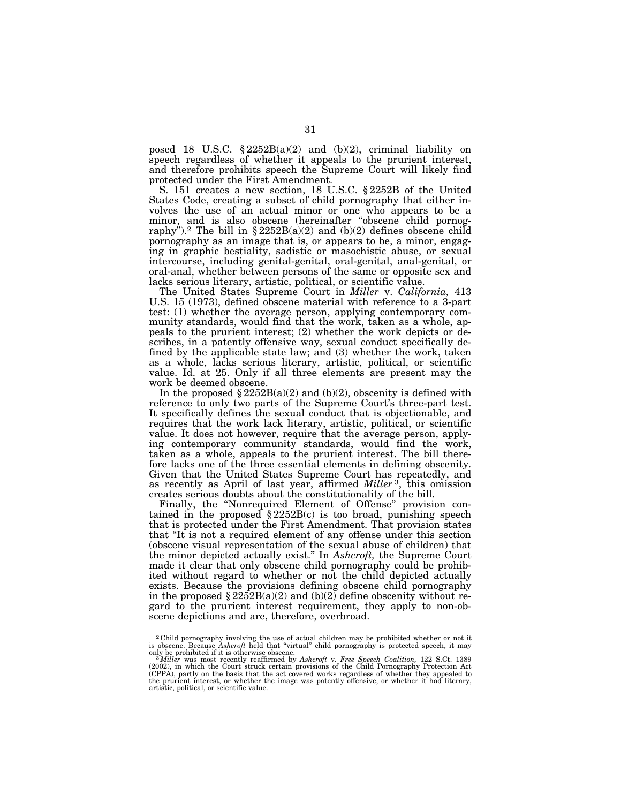posed 18 U.S.C. § 2252B(a)(2) and (b)(2), criminal liability on speech regardless of whether it appeals to the prurient interest, and therefore prohibits speech the Supreme Court will likely find protected under the First Amendment.

S. 151 creates a new section, 18 U.S.C. § 2252B of the United States Code, creating a subset of child pornography that either involves the use of an actual minor or one who appears to be a minor, and is also obscene (hereinafter ''obscene child pornography").<sup>2</sup> The bill in  $\S 2252B(a)(2)$  and (b)(2) defines obscene child pornography as an image that is, or appears to be, a minor, engaging in graphic bestiality, sadistic or masochistic abuse, or sexual intercourse, including genital-genital, oral-genital, anal-genital, or oral-anal, whether between persons of the same or opposite sex and lacks serious literary, artistic, political, or scientific value.

The United States Supreme Court in *Miller* v. *California,* 413 U.S. 15 (1973), defined obscene material with reference to a 3-part test: (1) whether the average person, applying contemporary community standards, would find that the work, taken as a whole, appeals to the prurient interest; (2) whether the work depicts or describes, in a patently offensive way, sexual conduct specifically defined by the applicable state law; and (3) whether the work, taken as a whole, lacks serious literary, artistic, political, or scientific value. Id. at 25. Only if all three elements are present may the work be deemed obscene.

In the proposed  $\S 2252B(a)(2)$  and (b)(2), obscenity is defined with reference to only two parts of the Supreme Court's three-part test. It specifically defines the sexual conduct that is objectionable, and requires that the work lack literary, artistic, political, or scientific value. It does not however, require that the average person, applying contemporary community standards, would find the work, taken as a whole, appeals to the prurient interest. The bill therefore lacks one of the three essential elements in defining obscenity. Given that the United States Supreme Court has repeatedly, and as recently as April of last year, affirmed *Miller* 3, this omission creates serious doubts about the constitutionality of the bill.

Finally, the "Nonrequired Element of Offense" provision contained in the proposed  $\S 2252B(c)$  is too broad, punishing speech that is protected under the First Amendment. That provision states that ''It is not a required element of any offense under this section (obscene visual representation of the sexual abuse of children) that the minor depicted actually exist.'' In *Ashcroft,* the Supreme Court made it clear that only obscene child pornography could be prohibited without regard to whether or not the child depicted actually exists. Because the provisions defining obscene child pornography in the proposed  $\S 2252B(a)(2)$  and  $(b)(2)$  define obscenity without regard to the prurient interest requirement, they apply to non-obscene depictions and are, therefore, overbroad.

<sup>&</sup>lt;sup>2</sup>Child pornography involving the use of actual children may be prohibited whether or not it is obscene. Because *Ashcroft* held that "virtual" child pornography is protected speech, it may

only be prohibited if it is otherwise obscene.<br><sup>3</sup> Miller was most recently reaffirmed by Ashcroft v. Free Speech Coalition, 122 S.Ct. 1389<br>(2002), in which the Court struck certain provisions of the Child Pornography Prot (CPPA), partly on the basis that the act covered works regardless of whether they appealed to the prurient interest, or whether the image was patently offensive, or whether it had literary, artistic, political, or scientific value.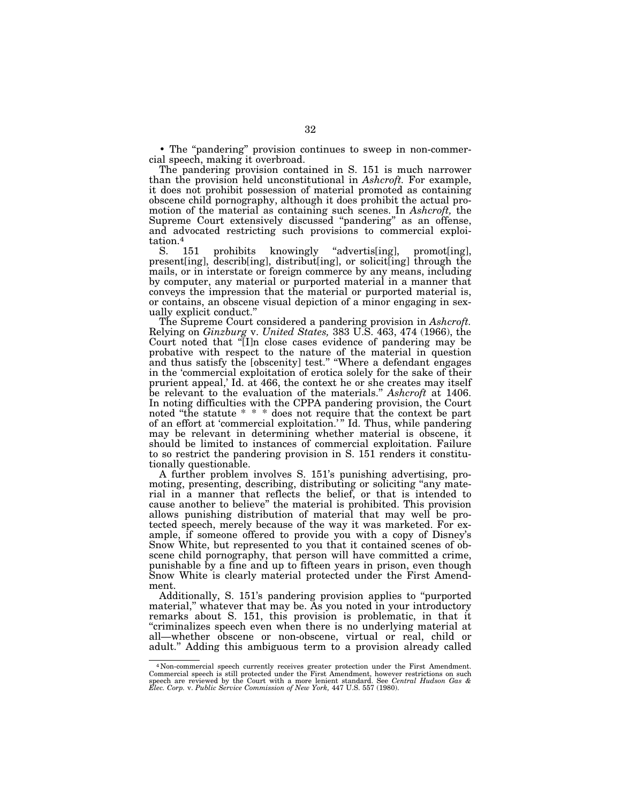• The ''pandering'' provision continues to sweep in non-commercial speech, making it overbroad.

The pandering provision contained in S. 151 is much narrower than the provision held unconstitutional in *Ashcroft.* For example, it does not prohibit possession of material promoted as containing obscene child pornography, although it does prohibit the actual promotion of the material as containing such scenes. In *Ashcroft,* the Supreme Court extensively discussed ''pandering'' as an offense, and advocated restricting such provisions to commercial exploitation.4

S. 151 prohibits knowingly ''advertis[ing], promot[ing], present[ing], describ[ing], distribut[ing], or solicit[ing] through the mails, or in interstate or foreign commerce by any means, including by computer, any material or purported material in a manner that conveys the impression that the material or purported material is, or contains, an obscene visual depiction of a minor engaging in sexually explicit conduct.''

The Supreme Court considered a pandering provision in *Ashcroft.* Relying on *Ginzburg* v. *United States,* 383 U.S. 463, 474 (1966), the Court noted that ''[I]n close cases evidence of pandering may be probative with respect to the nature of the material in question and thus satisfy the [obscenity] test.'' ''Where a defendant engages in the 'commercial exploitation of erotica solely for the sake of their prurient appeal,' Id. at 466, the context he or she creates may itself be relevant to the evaluation of the materials.'' *Ashcroft* at 1406. In noting difficulties with the CPPA pandering provision, the Court noted "the statute \* \* \* does not require that the context be part of an effort at 'commercial exploitation.'" Id. Thus, while pandering may be relevant in determining whether material is obscene, it should be limited to instances of commercial exploitation. Failure to so restrict the pandering provision in S. 151 renders it constitutionally questionable.

A further problem involves S. 151's punishing advertising, promoting, presenting, describing, distributing or soliciting "any material in a manner that reflects the belief, or that is intended to cause another to believe'' the material is prohibited. This provision allows punishing distribution of material that may well be protected speech, merely because of the way it was marketed. For example, if someone offered to provide you with a copy of Disney's Snow White, but represented to you that it contained scenes of obscene child pornography, that person will have committed a crime, punishable by a fine and up to fifteen years in prison, even though Snow White is clearly material protected under the First Amendment.

Additionally, S. 151's pandering provision applies to ''purported material," whatever that may be. As you noted in your introductory remarks about S. 151, this provision is problematic, in that it ''criminalizes speech even when there is no underlying material at all—whether obscene or non-obscene, virtual or real, child or adult.'' Adding this ambiguous term to a provision already called

<sup>4</sup> Non-commercial speech currently receives greater protection under the First Amendment. Commercial speech is still protected under the First Amendment, however restrictions on such speech are reviewed by the Court with a more lenient standard. See *Central Hudson Gas & Elec. Corp.* v. *Public Service Commission of New York,* 447 U.S. 557 (1980).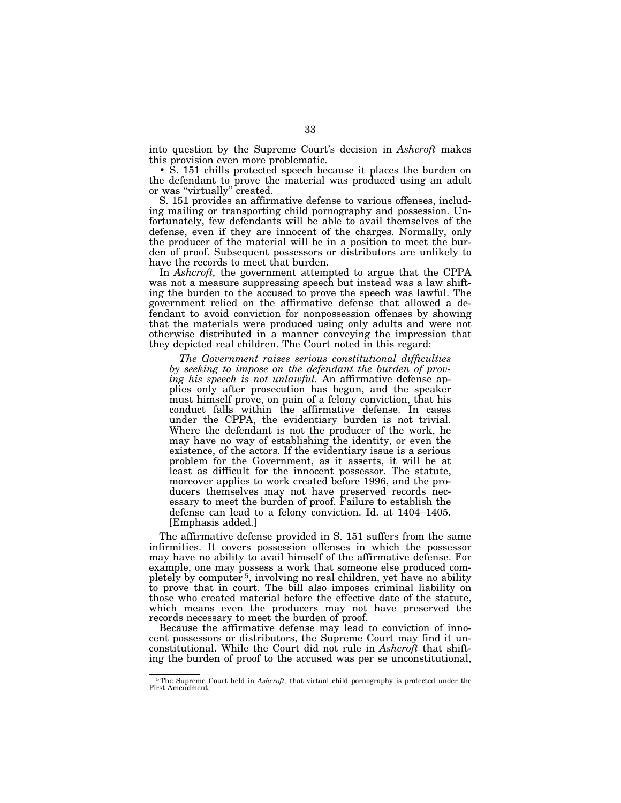into question by the Supreme Court's decision in *Ashcroft* makes this provision even more problematic.

• S. 151 chills protected speech because it places the burden on the defendant to prove the material was produced using an adult or was "virtually" created.

S. 151 provides an affirmative defense to various offenses, including mailing or transporting child pornography and possession. Unfortunately, few defendants will be able to avail themselves of the defense, even if they are innocent of the charges. Normally, only the producer of the material will be in a position to meet the burden of proof. Subsequent possessors or distributors are unlikely to have the records to meet that burden.

In *Ashcroft,* the government attempted to argue that the CPPA was not a measure suppressing speech but instead was a law shifting the burden to the accused to prove the speech was lawful. The government relied on the affirmative defense that allowed a defendant to avoid conviction for nonpossession offenses by showing that the materials were produced using only adults and were not otherwise distributed in a manner conveying the impression that they depicted real children. The Court noted in this regard:

*The Government raises serious constitutional difficulties by seeking to impose on the defendant the burden of proving his speech is not unlawful.* An affirmative defense applies only after prosecution has begun, and the speaker must himself prove, on pain of a felony conviction, that his conduct falls within the affirmative defense. In cases under the CPPA, the evidentiary burden is not trivial. Where the defendant is not the producer of the work, he may have no way of establishing the identity, or even the existence, of the actors. If the evidentiary issue is a serious problem for the Government, as it asserts, it will be at least as difficult for the innocent possessor. The statute, moreover applies to work created before 1996, and the producers themselves may not have preserved records necessary to meet the burden of proof. Failure to establish the defense can lead to a felony conviction. Id. at 1404–1405. [Emphasis added.]

The affirmative defense provided in S. 151 suffers from the same infirmities. It covers possession offenses in which the possessor may have no ability to avail himself of the affirmative defense. For example, one may possess a work that someone else produced completely by computer 5, involving no real children, yet have no ability to prove that in court. The bill also imposes criminal liability on those who created material before the effective date of the statute, which means even the producers may not have preserved the records necessary to meet the burden of proof.

Because the affirmative defense may lead to conviction of innocent possessors or distributors, the Supreme Court may find it unconstitutional. While the Court did not rule in *Ashcroft* that shifting the burden of proof to the accused was per se unconstitutional,

<sup>5</sup>The Supreme Court held in *Ashcroft,* that virtual child pornography is protected under the First Amendment.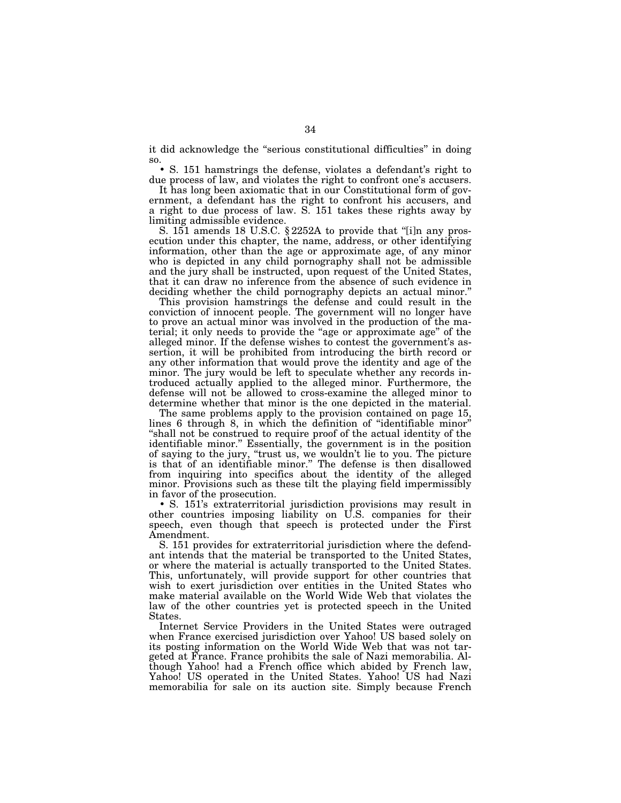it did acknowledge the ''serious constitutional difficulties'' in doing so.

• S. 151 hamstrings the defense, violates a defendant's right to due process of law, and violates the right to confront one's accusers.

It has long been axiomatic that in our Constitutional form of government, a defendant has the right to confront his accusers, and a right to due process of law. S. 151 takes these rights away by limiting admissible evidence.

S. 151 amends 18 U.S.C. § 2252A to provide that "[i]n any prosecution under this chapter, the name, address, or other identifying information, other than the age or approximate age, of any minor who is depicted in any child pornography shall not be admissible and the jury shall be instructed, upon request of the United States, that it can draw no inference from the absence of such evidence in deciding whether the child pornography depicts an actual minor.''

This provision hamstrings the defense and could result in the conviction of innocent people. The government will no longer have to prove an actual minor was involved in the production of the material; it only needs to provide the ''age or approximate age'' of the alleged minor. If the defense wishes to contest the government's assertion, it will be prohibited from introducing the birth record or any other information that would prove the identity and age of the minor. The jury would be left to speculate whether any records introduced actually applied to the alleged minor. Furthermore, the defense will not be allowed to cross-examine the alleged minor to determine whether that minor is the one depicted in the material.

The same problems apply to the provision contained on page 15, lines 6 through 8, in which the definition of ''identifiable minor'' ''shall not be construed to require proof of the actual identity of the identifiable minor.'' Essentially, the government is in the position of saying to the jury, "trust us, we wouldn't lie to you. The picture is that of an identifiable minor.'' The defense is then disallowed from inquiring into specifics about the identity of the alleged minor. Provisions such as these tilt the playing field impermissibly in favor of the prosecution.

• S. 151's extraterritorial jurisdiction provisions may result in other countries imposing liability on U.S. companies for their speech, even though that speech is protected under the First Amendment.

S. 151 provides for extraterritorial jurisdiction where the defendant intends that the material be transported to the United States, or where the material is actually transported to the United States. This, unfortunately, will provide support for other countries that wish to exert jurisdiction over entities in the United States who make material available on the World Wide Web that violates the law of the other countries yet is protected speech in the United States.

Internet Service Providers in the United States were outraged when France exercised jurisdiction over Yahoo! US based solely on its posting information on the World Wide Web that was not targeted at France. France prohibits the sale of Nazi memorabilia. Although Yahoo! had a French office which abided by French law, Yahoo! US operated in the United States. Yahoo! US had Nazi memorabilia for sale on its auction site. Simply because French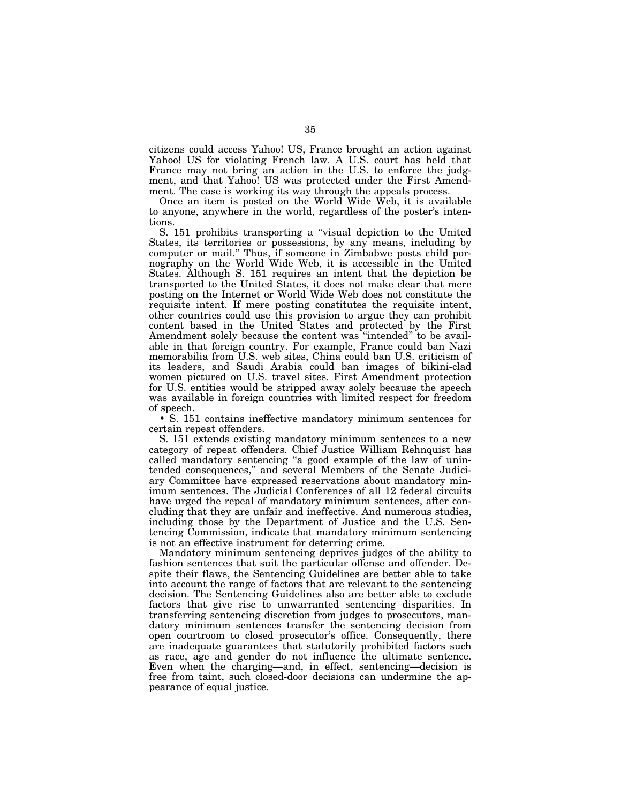citizens could access Yahoo! US, France brought an action against Yahoo! US for violating French law. A U.S. court has held that France may not bring an action in the U.S. to enforce the judgment, and that Yahoo! US was protected under the First Amendment. The case is working its way through the appeals process.

Once an item is posted on the World Wide Web, it is available to anyone, anywhere in the world, regardless of the poster's intentions.

S. 151 prohibits transporting a ''visual depiction to the United States, its territories or possessions, by any means, including by computer or mail.'' Thus, if someone in Zimbabwe posts child pornography on the World Wide Web, it is accessible in the United States. Although S. 151 requires an intent that the depiction be transported to the United States, it does not make clear that mere posting on the Internet or World Wide Web does not constitute the requisite intent. If mere posting constitutes the requisite intent, other countries could use this provision to argue they can prohibit content based in the United States and protected by the First Amendment solely because the content was "intended" to be available in that foreign country. For example, France could ban Nazi memorabilia from U.S. web sites, China could ban U.S. criticism of its leaders, and Saudi Arabia could ban images of bikini-clad women pictured on U.S. travel sites. First Amendment protection for U.S. entities would be stripped away solely because the speech was available in foreign countries with limited respect for freedom of speech.

• S. 151 contains ineffective mandatory minimum sentences for certain repeat offenders.

S. 151 extends existing mandatory minimum sentences to a new category of repeat offenders. Chief Justice William Rehnquist has called mandatory sentencing "a good example of the law of unintended consequences,'' and several Members of the Senate Judiciary Committee have expressed reservations about mandatory minimum sentences. The Judicial Conferences of all 12 federal circuits have urged the repeal of mandatory minimum sentences, after concluding that they are unfair and ineffective. And numerous studies, including those by the Department of Justice and the U.S. Sentencing Commission, indicate that mandatory minimum sentencing is not an effective instrument for deterring crime.

Mandatory minimum sentencing deprives judges of the ability to fashion sentences that suit the particular offense and offender. Despite their flaws, the Sentencing Guidelines are better able to take into account the range of factors that are relevant to the sentencing decision. The Sentencing Guidelines also are better able to exclude factors that give rise to unwarranted sentencing disparities. In transferring sentencing discretion from judges to prosecutors, mandatory minimum sentences transfer the sentencing decision from open courtroom to closed prosecutor's office. Consequently, there are inadequate guarantees that statutorily prohibited factors such as race, age and gender do not influence the ultimate sentence. Even when the charging—and, in effect, sentencing—decision is free from taint, such closed-door decisions can undermine the appearance of equal justice.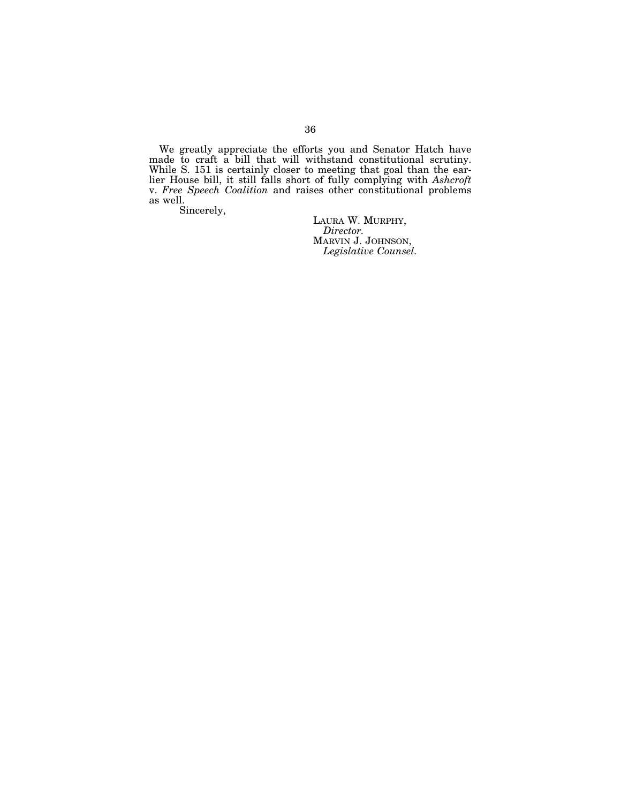We greatly appreciate the efforts you and Senator Hatch have made to craft a bill that will withstand constitutional scrutiny. While S. 151 is certainly closer to meeting that goal than the earlier House bill, it still falls short of fully complying with *Ashcroft* v. *Free Speech Coalition* and raises other constitutional problems as well.

Sincerely,

LAURA W. MURPHY, *Director.*  MARVIN J. JOHNSON, *Legislative Counsel.*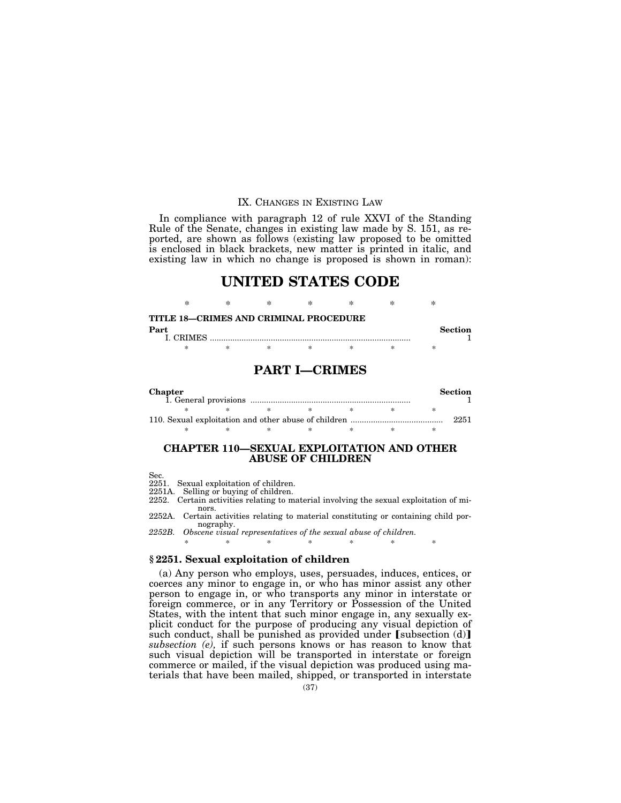# IX. CHANGES IN EXISTING LAW

In compliance with paragraph 12 of rule XXVI of the Standing Rule of the Senate, changes in existing law made by S. 151, as reported, are shown as follows (existing law proposed to be omitted is enclosed in black brackets, new matter is printed in italic, and existing law in which no change is proposed is shown in roman):

# **UNITED STATES CODE**

\* \* \* \* \* \* \*

# **TITLE 18—CRIMES AND CRIMINAL PROCEDURE**

**Part** Section **Part** Section I. CRIMES ......................................................................................... 1 \* \* \* \* \* \* \*

# **PART I—CRIMES**

| <b>Chapter</b> |  | <b>Section</b> |  |  |  |  |  |  |
|----------------|--|----------------|--|--|--|--|--|--|
|                |  |                |  |  |  |  |  |  |
|                |  |                |  |  |  |  |  |  |
|                |  |                |  |  |  |  |  |  |

# **CHAPTER 110—SEXUAL EXPLOITATION AND OTHER ABUSE OF CHILDREN**

Sec.

#### 2251. Sexual exploitation of children.

2251A. Selling or buying of children.

2252. Certain activities relating to material involving the sexual exploitation of minors.

2252A. Certain activities relating to material constituting or containing child pornography. *2252B. Obscene visual representatives of the sexual abuse of children.* 

\* \* \* \* \* \* \* \* \* \* \* \*

# **§ 2251. Sexual exploitation of children**

(a) Any person who employs, uses, persuades, induces, entices, or coerces any minor to engage in, or who has minor assist any other person to engage in, or who transports any minor in interstate or foreign commerce, or in any Territory or Possession of the United States, with the intent that such minor engage in, any sexually explicit conduct for the purpose of producing any visual depiction of such conduct, shall be punished as provided under  $[subsection (d)]$ *subsection (e),* if such persons knows or has reason to know that such visual depiction will be transported in interstate or foreign commerce or mailed, if the visual depiction was produced using materials that have been mailed, shipped, or transported in interstate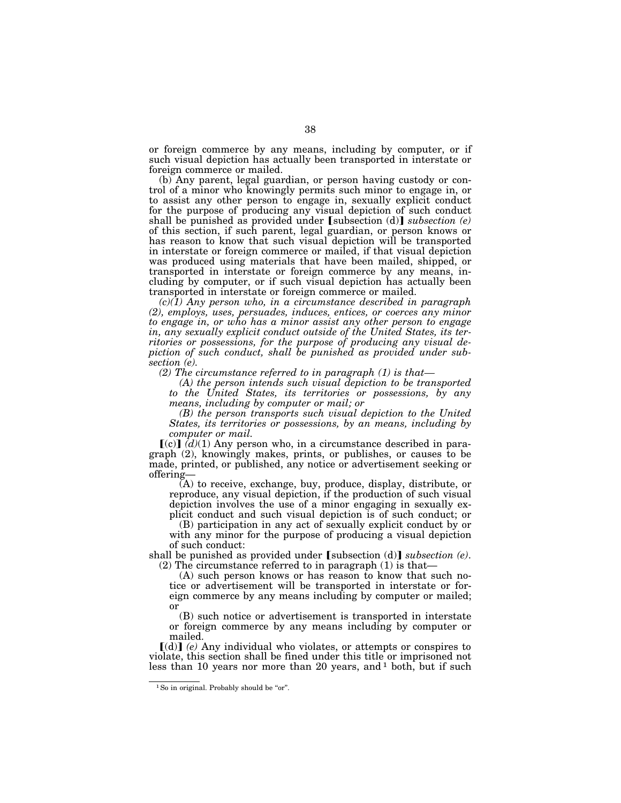or foreign commerce by any means, including by computer, or if such visual depiction has actually been transported in interstate or foreign commerce or mailed.

(b) Any parent, legal guardian, or person having custody or control of a minor who knowingly permits such minor to engage in, or to assist any other person to engage in, sexually explicit conduct for the purpose of producing any visual depiction of such conduct shall be punished as provided under [subsection (d)] *subsection (e)* of this section, if such parent, legal guardian, or person knows or has reason to know that such visual depiction will be transported in interstate or foreign commerce or mailed, if that visual depiction was produced using materials that have been mailed, shipped, or transported in interstate or foreign commerce by any means, including by computer, or if such visual depiction has actually been transported in interstate or foreign commerce or mailed.

*(c)(1) Any person who, in a circumstance described in paragraph (2), employs, uses, persuades, induces, entices, or coerces any minor to engage in, or who has a minor assist any other person to engage in, any sexually explicit conduct outside of the United States, its territories or possessions, for the purpose of producing any visual depiction of such conduct, shall be punished as provided under subsection (e).* 

*(2) The circumstance referred to in paragraph (1) is that—*

*(A) the person intends such visual depiction to be transported to the United States, its territories or possessions, by any means, including by computer or mail; or* 

*(B) the person transports such visual depiction to the United States, its territories or possessions, by an means, including by computer or mail.*

 $(c)$   $(d)(1)$  Any person who, in a circumstance described in paragraph (2), knowingly makes, prints, or publishes, or causes to be made, printed, or published, any notice or advertisement seeking or offering—

(A) to receive, exchange, buy, produce, display, distribute, or reproduce, any visual depiction, if the production of such visual depiction involves the use of a minor engaging in sexually explicit conduct and such visual depiction is of such conduct; or

(B) participation in any act of sexually explicit conduct by or with any minor for the purpose of producing a visual depiction of such conduct:

shall be punished as provided under [subsection (d)] *subsection (e)*. (2) The circumstance referred to in paragraph (1) is that—

(A) such person knows or has reason to know that such notice or advertisement will be transported in interstate or foreign commerce by any means including by computer or mailed; or

(B) such notice or advertisement is transported in interstate or foreign commerce by any means including by computer or mailed.

 $[(d)]$  (e) Any individual who violates, or attempts or conspires to violate, this section shall be fined under this title or imprisoned not less than 10 years nor more than 20 years, and  $1$  both, but if such

 $1$  So in original. Probably should be "or".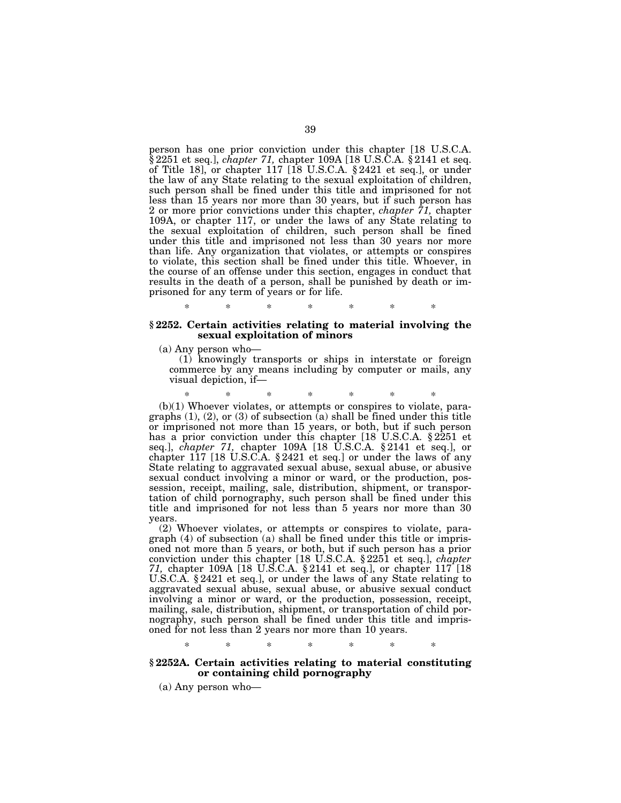person has one prior conviction under this chapter [18 U.S.C.A. § 2251 et seq.], *chapter 71,* chapter 109A [18 U.S.C.A. § 2141 et seq. of Title 18], or chapter 117 [18 U.S.C.A. § 2421 et seq.], or under the law of any State relating to the sexual exploitation of children, such person shall be fined under this title and imprisoned for not less than 15 years nor more than 30 years, but if such person has 2 or more prior convictions under this chapter, *chapter 71,* chapter 109A, or chapter 117, or under the laws of any State relating to the sexual exploitation of children, such person shall be fined under this title and imprisoned not less than 30 years nor more than life. Any organization that violates, or attempts or conspires to violate, this section shall be fined under this title. Whoever, in the course of an offense under this section, engages in conduct that results in the death of a person, shall be punished by death or imprisoned for any term of years or for life.

# \* \* \* \* \* \* \*

#### **§ 2252. Certain activities relating to material involving the sexual exploitation of minors**

(a) Any person who—

(1) knowingly transports or ships in interstate or foreign commerce by any means including by computer or mails, any visual depiction, if—

\* \* \* \* \* \* \* (b)(1) Whoever violates, or attempts or conspires to violate, paragraphs (1), (2), or (3) of subsection (a) shall be fined under this title or imprisoned not more than 15 years, or both, but if such person has a prior conviction under this chapter [18 U.S.C.A. § 2251 et seq.], *chapter 71,* chapter 109A [18 U.S.C.A. § 2141 et seq.], or chapter 117 [18 U.S.C.A.  $\S 2421$  et seq.] or under the laws of any State relating to aggravated sexual abuse, sexual abuse, or abusive sexual conduct involving a minor or ward, or the production, possession, receipt, mailing, sale, distribution, shipment, or transportation of child pornography, such person shall be fined under this title and imprisoned for not less than 5 years nor more than 30 years.

(2) Whoever violates, or attempts or conspires to violate, paragraph (4) of subsection (a) shall be fined under this title or imprisoned not more than 5 years, or both, but if such person has a prior conviction under this chapter [18 U.S.C.A. § 2251 et seq.], *chapter 71,* chapter 109A [18 U.S.C.A. § 2141 et seq.], or chapter 117 [18 U.S.C.A. § 2421 et seq.], or under the laws of any State relating to aggravated sexual abuse, sexual abuse, or abusive sexual conduct involving a minor or ward, or the production, possession, receipt, mailing, sale, distribution, shipment, or transportation of child pornography, such person shall be fined under this title and imprisoned for not less than 2 years nor more than 10 years.

\* \* \* \* \* \* \*

# **§ 2252A. Certain activities relating to material constituting or containing child pornography**

(a) Any person who—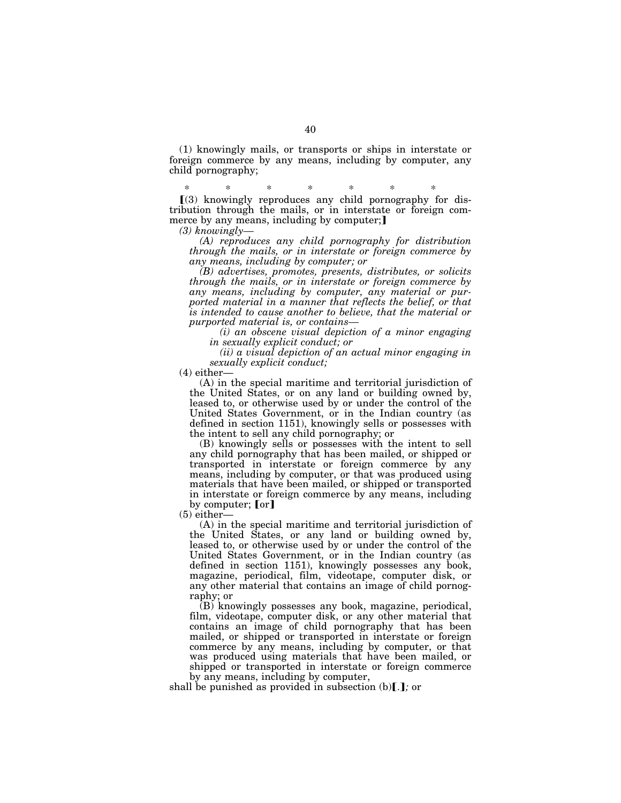(1) knowingly mails, or transports or ships in interstate or foreign commerce by any means, including by computer, any child pornography;

\* \* \* \* \* \* \*  $(3)$  knowingly reproduces any child pornography for distribution through the mails, or in interstate or foreign commerce by any means, including by computer;

*(3) knowingly—*

*(A) reproduces any child pornography for distribution through the mails, or in interstate or foreign commerce by any means, including by computer; or* 

*(B) advertises, promotes, presents, distributes, or solicits through the mails, or in interstate or foreign commerce by any means, including by computer, any material or purported material in a manner that reflects the belief, or that is intended to cause another to believe, that the material or purported material is, or contains—*

*(i) an obscene visual depiction of a minor engaging in sexually explicit conduct; or* 

*(ii) a visual depiction of an actual minor engaging in sexually explicit conduct;*

 $(4)$  either-

(A) in the special maritime and territorial jurisdiction of the United States, or on any land or building owned by, leased to, or otherwise used by or under the control of the United States Government, or in the Indian country (as defined in section 1151), knowingly sells or possesses with the intent to sell any child pornography; or

(B) knowingly sells or possesses with the intent to sell any child pornography that has been mailed, or shipped or transported in interstate or foreign commerce by any means, including by computer, or that was produced using materials that have been mailed, or shipped or transported in interstate or foreign commerce by any means, including by computer;  $\lceil \text{or} \rceil$ 

 $(5)$  either-

(A) in the special maritime and territorial jurisdiction of the United States, or any land or building owned by, leased to, or otherwise used by or under the control of the United States Government, or in the Indian country (as defined in section 1151), knowingly possesses any book, magazine, periodical, film, videotape, computer disk, or any other material that contains an image of child pornography; or

(B) knowingly possesses any book, magazine, periodical, film, videotape, computer disk, or any other material that contains an image of child pornography that has been mailed, or shipped or transported in interstate or foreign commerce by any means, including by computer, or that was produced using materials that have been mailed, or shipped or transported in interstate or foreign commerce by any means, including by computer,

shall be punished as provided in subsection (b)...}; or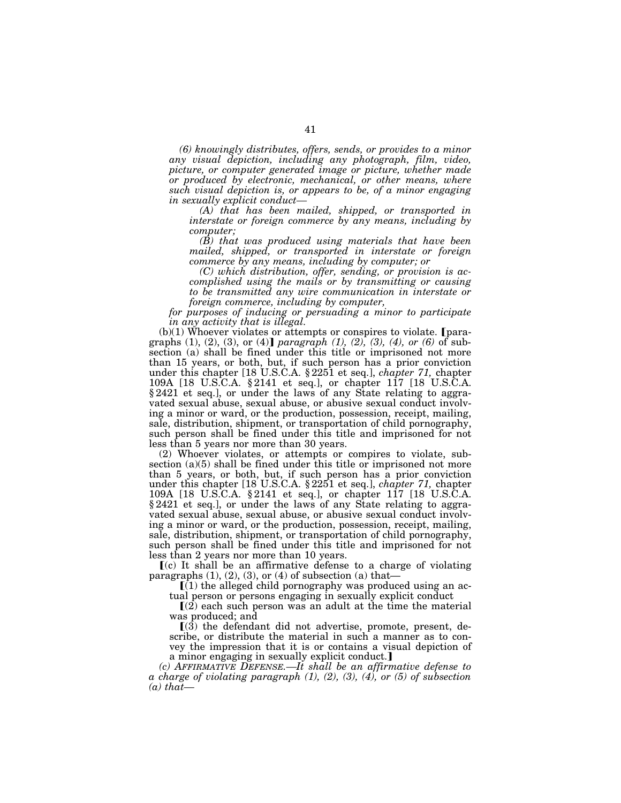*(6) knowingly distributes, offers, sends, or provides to a minor any visual depiction, including any photograph, film, video, picture, or computer generated image or picture, whether made or produced by electronic, mechanical, or other means, where such visual depiction is, or appears to be, of a minor engaging in sexually explicit conduct—*

*(A) that has been mailed, shipped, or transported in interstate or foreign commerce by any means, including by computer;* 

*(B) that was produced using materials that have been mailed, shipped, or transported in interstate or foreign commerce by any means, including by computer; or* 

*(C) which distribution, offer, sending, or provision is accomplished using the mails or by transmitting or causing to be transmitted any wire communication in interstate or foreign commerce, including by computer,* 

*for purposes of inducing or persuading a minor to participate in any activity that is illegal.*

 $(b)(1)$  Whoever violates or attempts or conspires to violate. [paragraphs  $(1)$ ,  $(2)$ ,  $(3)$ , or  $(4)$ **]** *paragraph*  $(1)$ ,  $(2)$ ,  $(3)$ ,  $(4)$ , or  $(6)$  of subsection (a) shall be fined under this title or imprisoned not more than 15 years, or both, but, if such person has a prior conviction under this chapter [18 U.S.C.A. § 2251 et seq.], *chapter 71,* chapter 109A [18 U.S.C.A. § 2141 et seq.], or chapter 117 [18 U.S.C.A. § 2421 et seq.], or under the laws of any State relating to aggravated sexual abuse, sexual abuse, or abusive sexual conduct involving a minor or ward, or the production, possession, receipt, mailing, sale, distribution, shipment, or transportation of child pornography, such person shall be fined under this title and imprisoned for not less than 5 years nor more than 30 years.

(2) Whoever violates, or attempts or compires to violate, subsection (a)(5) shall be fined under this title or imprisoned not more than 5 years, or both, but, if such person has a prior conviction under this chapter [18 U.S.C.A. § 2251 et seq.], *chapter 71,* chapter 109A [18 U.S.C.A. § 2141 et seq.], or chapter 117 [18 U.S.C.A. § 2421 et seq.], or under the laws of any State relating to aggravated sexual abuse, sexual abuse, or abusive sexual conduct involving a minor or ward, or the production, possession, receipt, mailing, sale, distribution, shipment, or transportation of child pornography, such person shall be fined under this title and imprisoned for not less than 2 years nor more than 10 years.

 $(c)$  It shall be an affirmative defense to a charge of violating paragraphs  $(1)$ ,  $(2)$ ,  $(3)$ , or  $(4)$  of subsection  $(a)$  that-

 $(i)$  the alleged child pornography was produced using an actual person or persons engaging in sexually explicit conduct

 $(2)$  each such person was an adult at the time the material was produced; and

 $(3)$  the defendant did not advertise, promote, present, describe, or distribute the material in such a manner as to convey the impression that it is or contains a visual depiction of a minor engaging in sexually explicit conduct.]

*(c) AFFIRMATIVE DEFENSE.—It shall be an affirmative defense to a charge of violating paragraph (1), (2), (3), (4), or (5) of subsection (a) that—*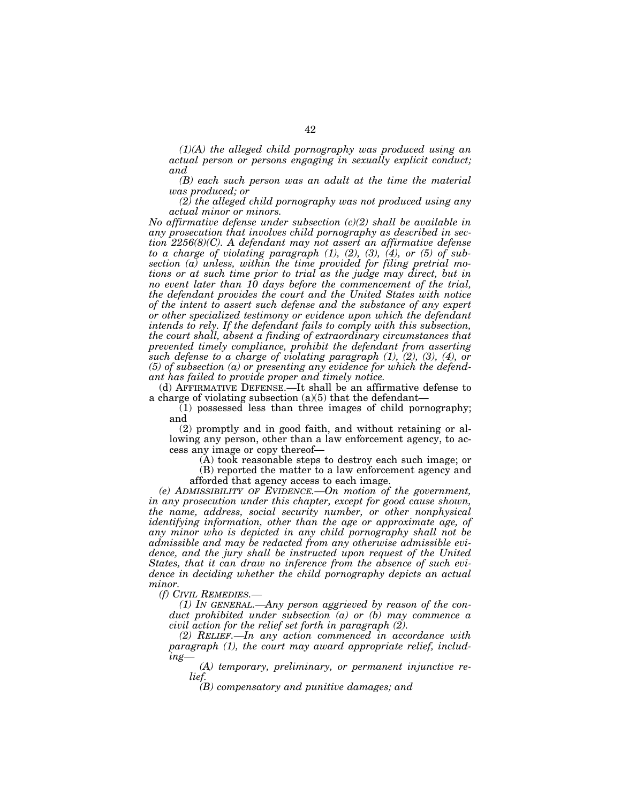*(1)(A) the alleged child pornography was produced using an actual person or persons engaging in sexually explicit conduct; and* 

*(B) each such person was an adult at the time the material was produced; or* 

*(2) the alleged child pornography was not produced using any actual minor or minors.* 

*No affirmative defense under subsection (c)(2) shall be available in any prosecution that involves child pornography as described in section 2256(8)(C). A defendant may not assert an affirmative defense to a charge of violating paragraph (1), (2), (3), (4), or (5) of subsection (a) unless, within the time provided for filing pretrial motions or at such time prior to trial as the judge may direct, but in no event later than 10 days before the commencement of the trial, the defendant provides the court and the United States with notice of the intent to assert such defense and the substance of any expert or other specialized testimony or evidence upon which the defendant intends to rely. If the defendant fails to comply with this subsection, the court shall, absent a finding of extraordinary circumstances that prevented timely compliance, prohibit the defendant from asserting such defense to a charge of violating paragraph (1), (2), (3), (4), or (5) of subsection (a) or presenting any evidence for which the defendant has failed to provide proper and timely notice.*

(d) AFFIRMATIVE DEFENSE.—It shall be an affirmative defense to a charge of violating subsection (a)(5) that the defendant—

(1) possessed less than three images of child pornography; and

(2) promptly and in good faith, and without retaining or allowing any person, other than a law enforcement agency, to access any image or copy thereof—

(A) took reasonable steps to destroy each such image; or (B) reported the matter to a law enforcement agency and afforded that agency access to each image.

*(e) ADMISSIBILITY OF EVIDENCE.—On motion of the government, in any prosecution under this chapter, except for good cause shown, the name, address, social security number, or other nonphysical identifying information, other than the age or approximate age, of*  any minor who is depicted in any child pornography shall not be *admissible and may be redacted from any otherwise admissible evidence, and the jury shall be instructed upon request of the United States, that it can draw no inference from the absence of such evidence in deciding whether the child pornography depicts an actual minor.* 

*(f) CIVIL REMEDIES.—*

*(1) IN GENERAL.—Any person aggrieved by reason of the conduct prohibited under subsection (a) or (b) may commence a civil action for the relief set forth in paragraph (2).* 

*(2) RELIEF.—In any action commenced in accordance with paragraph (1), the court may award appropriate relief, including—*

*(A) temporary, preliminary, or permanent injunctive relief.* 

*(B) compensatory and punitive damages; and*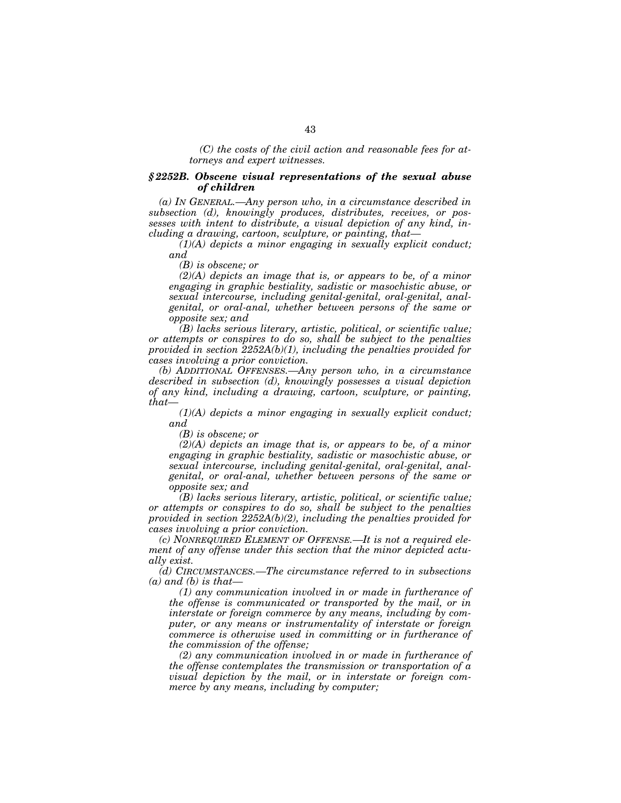*(C) the costs of the civil action and reasonable fees for attorneys and expert witnesses.*

# *§ 2252B. Obscene visual representations of the sexual abuse of children*

*(a) IN GENERAL.—Any person who, in a circumstance described in subsection (d), knowingly produces, distributes, receives, or possesses with intent to distribute, a visual depiction of any kind, including a drawing, cartoon, sculpture, or painting, that—*

*(1)(A) depicts a minor engaging in sexually explicit conduct; and* 

*(B) is obscene; or* 

*(2)(A) depicts an image that is, or appears to be, of a minor engaging in graphic bestiality, sadistic or masochistic abuse, or sexual intercourse, including genital-genital, oral-genital, analgenital, or oral-anal, whether between persons of the same or opposite sex; and* 

*(B) lacks serious literary, artistic, political, or scientific value; or attempts or conspires to do so, shall be subject to the penalties provided in section 2252A(b)(1), including the penalties provided for cases involving a prior conviction.* 

*(b) ADDITIONAL OFFENSES.—Any person who, in a circumstance described in subsection (d), knowingly possesses a visual depiction of any kind, including a drawing, cartoon, sculpture, or painting, that—*

*(1)(A) depicts a minor engaging in sexually explicit conduct; and* 

*(B) is obscene; or* 

*(2)(A) depicts an image that is, or appears to be, of a minor engaging in graphic bestiality, sadistic or masochistic abuse, or sexual intercourse, including genital-genital, oral-genital, analgenital, or oral-anal, whether between persons of the same or opposite sex; and* 

*(B) lacks serious literary, artistic, political, or scientific value; or attempts or conspires to do so, shall be subject to the penalties provided in section 2252A(b)(2), including the penalties provided for cases involving a prior conviction.*

*(c) NONREQUIRED ELEMENT OF OFFENSE.—It is not a required element of any offense under this section that the minor depicted actually exist.* 

*(d) CIRCUMSTANCES.—The circumstance referred to in subsections (a) and (b) is that—*

*(1) any communication involved in or made in furtherance of the offense is communicated or transported by the mail, or in interstate or foreign commerce by any means, including by computer, or any means or instrumentality of interstate or foreign commerce is otherwise used in committing or in furtherance of the commission of the offense;* 

*(2) any communication involved in or made in furtherance of the offense contemplates the transmission or transportation of a visual depiction by the mail, or in interstate or foreign commerce by any means, including by computer;*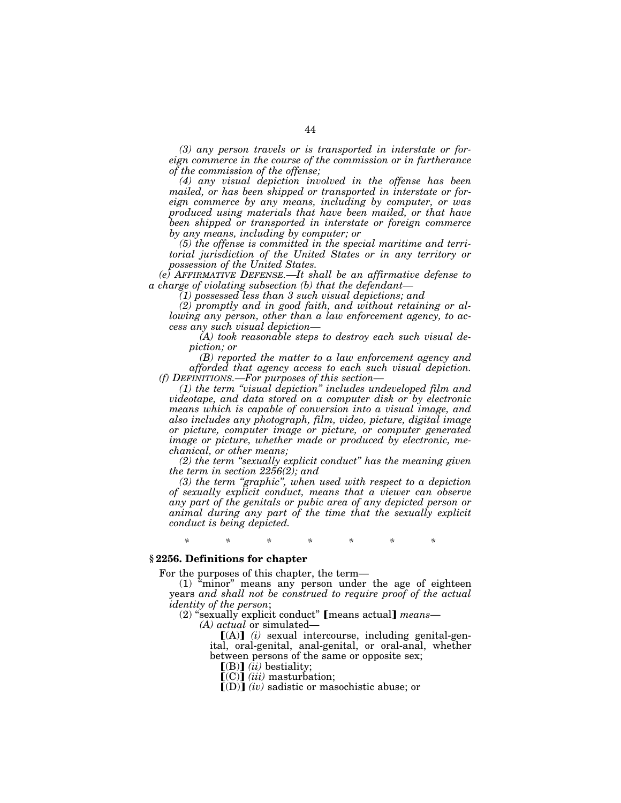*(3) any person travels or is transported in interstate or foreign commerce in the course of the commission or in furtherance of the commission of the offense;* 

*(4) any visual depiction involved in the offense has been mailed, or has been shipped or transported in interstate or foreign commerce by any means, including by computer, or was produced using materials that have been mailed, or that have been shipped or transported in interstate or foreign commerce by any means, including by computer; or* 

*(5) the offense is committed in the special maritime and territorial jurisdiction of the United States or in any territory or possession of the United States.* 

*(e) AFFIRMATIVE DEFENSE.—It shall be an affirmative defense to a charge of violating subsection (b) that the defendant—*

*(1) possessed less than 3 such visual depictions; and* 

*(2) promptly and in good faith, and without retaining or allowing any person, other than a law enforcement agency, to access any such visual depiction—*

*(A) took reasonable steps to destroy each such visual depiction; or* 

*(B) reported the matter to a law enforcement agency and afforded that agency access to each such visual depiction. (f) DEFINITIONS.—For purposes of this section—*

*(1) the term ''visual depiction'' includes undeveloped film and videotape, and data stored on a computer disk or by electronic means which is capable of conversion into a visual image, and also includes any photograph, film, video, picture, digital image or picture, computer image or picture, or computer generated image or picture, whether made or produced by electronic, mechanical, or other means;* 

*(2) the term ''sexually explicit conduct'' has the meaning given the term in section 2256(2); and* 

*(3) the term ''graphic'', when used with respect to a depiction of sexually explicit conduct, means that a viewer can observe any part of the genitals or pubic area of any depicted person or animal during any part of the time that the sexually explicit conduct is being depicted.* 

*\* \* \* \* \* \* \**

# **§ 2256. Definitions for chapter**

For the purposes of this chapter, the term—

 $(1)$  "minor" means any person under the age of eighteen years *and shall not be construed to require proof of the actual identity of the person*;

(2) "sexually explicit conduct" [means actual] *means*—

*(A) actual* or simulated—

 $[(A)]$   $(i)$  sexual intercourse, including genital-genital, oral-genital, anal-genital, or oral-anal, whether between persons of the same or opposite sex;

 $[(B)]$   $(i)$  bestiality:

 $\Gamma(C)$  *(iii)* masturbation;

 $\lceil$ (D) $\rceil$  *(iv)* sadistic or masochistic abuse; or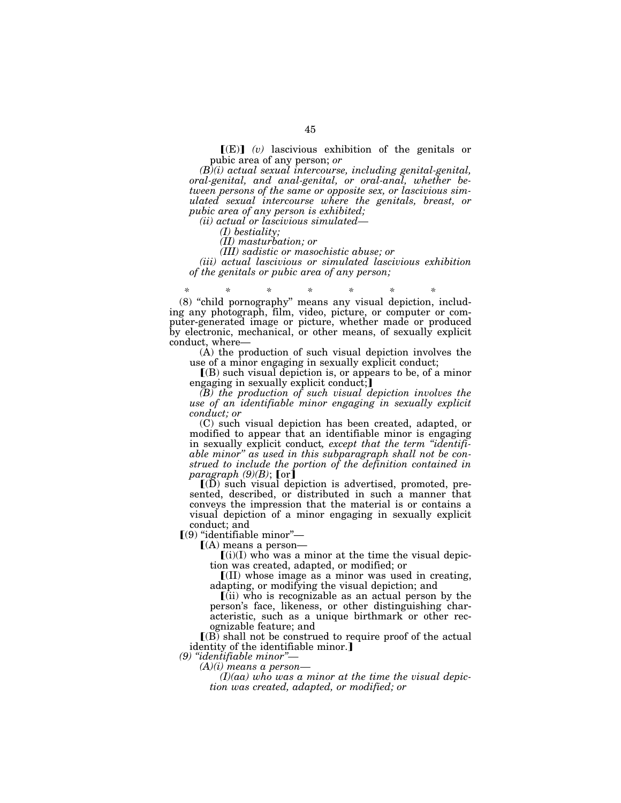$\Gamma(E)$  (v) lascivious exhibition of the genitals or pubic area of any person; *or*

*(B)(i) actual sexual intercourse, including genital-genital, oral-genital, and anal-genital, or oral-anal, whether between persons of the same or opposite sex, or lascivious simulated sexual intercourse where the genitals, breast, or pubic area of any person is exhibited;* 

*(ii) actual or lascivious simulated—*

*(I) bestiality;* 

*(II) masturbation; or* 

*(III) sadistic or masochistic abuse; or* 

*(iii) actual lascivious or simulated lascivious exhibition of the genitals or pubic area of any person;* 

*\* \* \* \* \* \* \** (8) ''child pornography'' means any visual depiction, including any photograph, film, video, picture, or computer or computer-generated image or picture, whether made or produced by electronic, mechanical, or other means, of sexually explicit conduct, where—

(A) the production of such visual depiction involves the use of a minor engaging in sexually explicit conduct;

 $($ B $)$  such visual depiction is, or appears to be, of a minor engaging in sexually explicit conduct;

*(B) the production of such visual depiction involves the use of an identifiable minor engaging in sexually explicit conduct; or* 

(C) such visual depiction has been created, adapted, or modified to appear that an identifiable minor is engaging in sexually explicit conduct*, except that the term ''identifiable minor'' as used in this subparagraph shall not be construed to include the portion of the definition contained in paragraph*  $(9)(B)$ ; [or]

 $I(\bar{D})$  such visual depiction is advertised, promoted, presented, described, or distributed in such a manner that conveys the impression that the material is or contains a visual depiction of a minor engaging in sexually explicit conduct; and

 $(9)$  "identifiable minor"—

 $(A)$  means a person—

 $(i)(I)$  who was a minor at the time the visual depiction was created, adapted, or modified; or

 $\overline{f(II)}$  whose image as a minor was used in creating, adapting, or modifying the visual depiction; and

 $\left[ \overline{\text{(ii)}} \right]$  who is recognizable as an actual person by the person's face, likeness, or other distinguishing characteristic, such as a unique birthmark or other recognizable feature; and

 $(R)$  shall not be construed to require proof of the actual identity of the identifiable minor.]

*(9) ''identifiable minor''—*

*(A)(i) means a person—*

*(I)(aa) who was a minor at the time the visual depiction was created, adapted, or modified; or*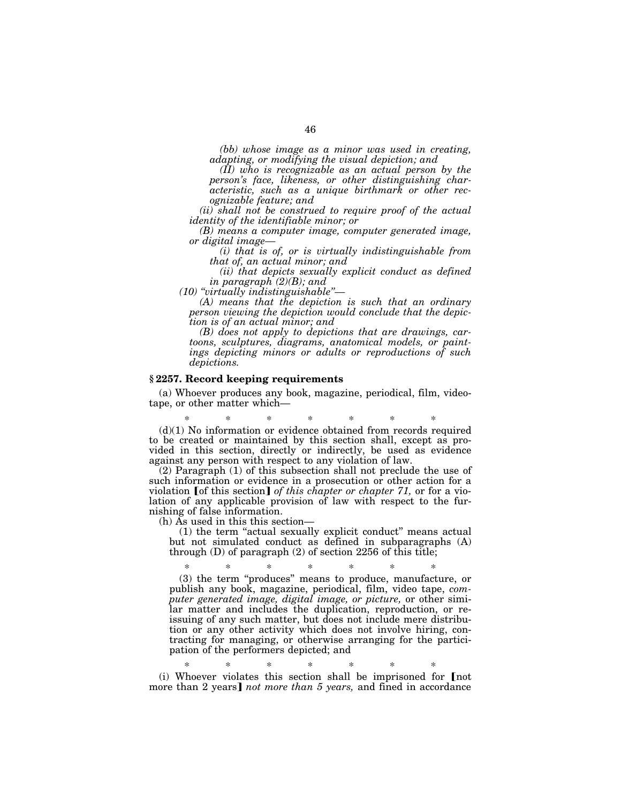*(bb) whose image as a minor was used in creating, adapting, or modifying the visual depiction; and*

*(II) who is recognizable as an actual person by the person's face, likeness, or other distinguishing characteristic, such as a unique birthmark or other recognizable feature; and* 

*(ii) shall not be construed to require proof of the actual identity of the identifiable minor; or* 

*(B) means a computer image, computer generated image, or digital image—*

*(i) that is of, or is virtually indistinguishable from that of, an actual minor; and* 

*(ii) that depicts sexually explicit conduct as defined in paragraph (2)(B); and* 

*(10) ''virtually indistinguishable''—*

*(A) means that the depiction is such that an ordinary person viewing the depiction would conclude that the depiction is of an actual minor; and* 

*(B) does not apply to depictions that are drawings, cartoons, sculptures, diagrams, anatomical models, or paintings depicting minors or adults or reproductions of such depictions.*

#### **§ 2257. Record keeping requirements**

(a) Whoever produces any book, magazine, periodical, film, videotape, or other matter which—

\* \* \* \* \* \* \* (d)(1) No information or evidence obtained from records required to be created or maintained by this section shall, except as provided in this section, directly or indirectly, be used as evidence against any person with respect to any violation of law.

(2) Paragraph (1) of this subsection shall not preclude the use of such information or evidence in a prosecution or other action for a violation **[**of this section**]** *of this chapter or chapter 71*, or for a violation of any applicable provision of law with respect to the furnishing of false information.

(h) As used in this this section—

(1) the term ''actual sexually explicit conduct'' means actual but not simulated conduct as defined in subparagraphs (A) through (D) of paragraph (2) of section 2256 of this title;

\* \* \* \* \* \* \* (3) the term ''produces'' means to produce, manufacture, or publish any book, magazine, periodical, film, video tape, *computer generated image, digital image, or picture,* or other similar matter and includes the duplication, reproduction, or reissuing of any such matter, but does not include mere distribution or any other activity which does not involve hiring, contracting for managing, or otherwise arranging for the participation of the performers depicted; and

\* \* \* \* \* \* \* (i) Whoever violates this section shall be imprisoned for [not] more than 2 years) *not more than 5 years*, and fined in accordance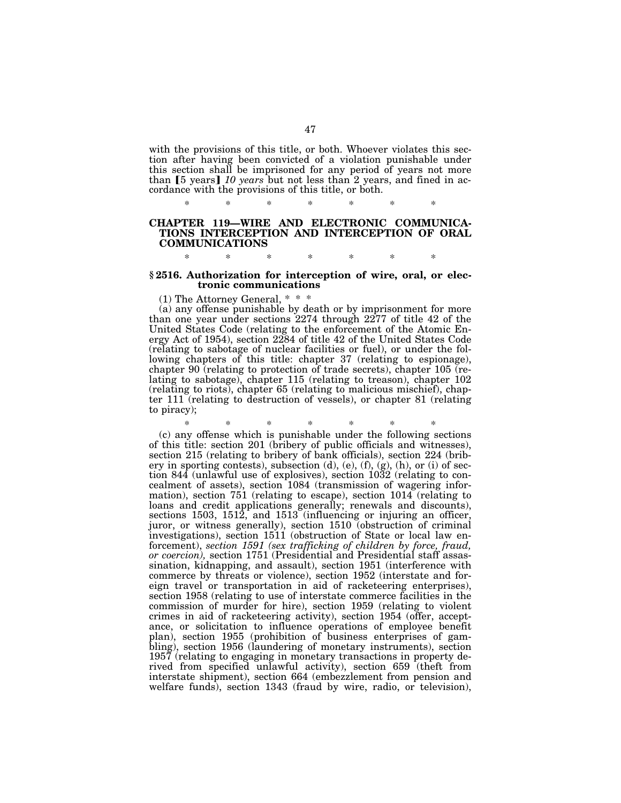with the provisions of this title, or both. Whoever violates this section after having been convicted of a violation punishable under this section shall be imprisoned for any period of years not more than [5 years] 10 years but not less than 2 years, and fined in accordance with the provisions of this title, or both.

# **CHAPTER 119—WIRE AND ELECTRONIC COMMUNICA-TIONS INTERCEPTION AND INTERCEPTION OF ORAL COMMUNICATIONS**

\* \* \* \* \* \* \*

\* \* \* \* \* \* \*

# **§ 2516. Authorization for interception of wire, oral, or electronic communications**

(1) The Attorney General, \* \* \*

(a) any offense punishable by death or by imprisonment for more than one year under sections 2274 through 2277 of title 42 of the United States Code (relating to the enforcement of the Atomic Energy Act of 1954), section 2284 of title 42 of the United States Code (relating to sabotage of nuclear facilities or fuel), or under the following chapters of this title: chapter 37 (relating to espionage), chapter 90 (relating to protection of trade secrets), chapter 105 (relating to sabotage), chapter 115 (relating to treason), chapter 102 (relating to riots), chapter 65 (relating to malicious mischief), chapter 111 (relating to destruction of vessels), or chapter 81 (relating to piracy);

\* \* \* \* \* \* \*

(c) any offense which is punishable under the following sections of this title: section 201 (bribery of public officials and witnesses), section 215 (relating to bribery of bank officials), section 224 (bribery in sporting contests), subsection (d), (e), (f), (g), (h), or (i) of section 844 (unlawful use of explosives), section 1032 (relating to concealment of assets), section 1084 (transmission of wagering information), section 751 (relating to escape), section 1014 (relating to loans and credit applications generally; renewals and discounts), sections 1503, 1512, and 1513 (influencing or injuring an officer, juror, or witness generally), section 1510 (obstruction of criminal investigations), section 1511 (obstruction of State or local law enforcement), *section 1591 (sex trafficking of children by force, fraud, or coercion),* section 1751 (Presidential and Presidential staff assassination, kidnapping, and assault), section 1951 (interference with commerce by threats or violence), section 1952 (interstate and foreign travel or transportation in aid of racketeering enterprises), section 1958 (relating to use of interstate commerce facilities in the commission of murder for hire), section 1959 (relating to violent crimes in aid of racketeering activity), section 1954 (offer, acceptance, or solicitation to influence operations of employee benefit plan), section 1955 (prohibition of business enterprises of gambling), section 1956 (laundering of monetary instruments), section 1957 (relating to engaging in monetary transactions in property derived from specified unlawful activity), section 659 (theft from interstate shipment), section 664 (embezzlement from pension and welfare funds), section 1343 (fraud by wire, radio, or television),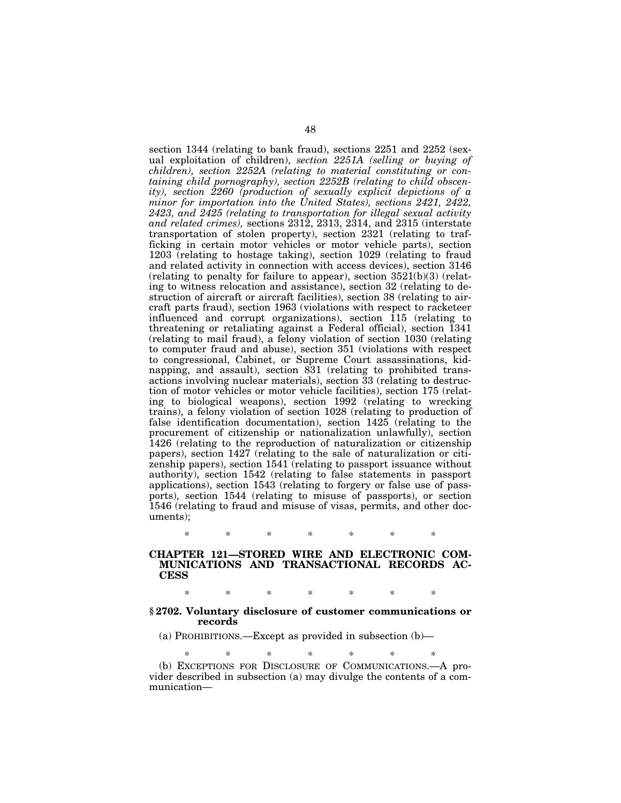section 1344 (relating to bank fraud), sections 2251 and 2252 (sexual exploitation of children), *section 2251A (selling or buying of children), section 2252A (relating to material constituting or containing child pornography), section 2252B (relating to child obscenity), section 2260 (production of sexually explicit depictions of a minor for importation into the United States), sections 2421, 2422, 2423, and 2425 (relating to transportation for illegal sexual activity and related crimes),* sections 2312, 2313, 2314, and 2315 (interstate transportation of stolen property), section 2321 (relating to trafficking in certain motor vehicles or motor vehicle parts), section 1203 (relating to hostage taking), section 1029 (relating to fraud and related activity in connection with access devices), section 3146 (relating to penalty for failure to appear), section 3521(b)(3) (relating to witness relocation and assistance), section 32 (relating to destruction of aircraft or aircraft facilities), section 38 (relating to aircraft parts fraud), section 1963 (violations with respect to racketeer influenced and corrupt organizations), section 115 (relating to threatening or retaliating against a Federal official), section 1341 (relating to mail fraud), a felony violation of section 1030 (relating to computer fraud and abuse), section 351 (violations with respect to congressional, Cabinet, or Supreme Court assassinations, kidnapping, and assault), section 831 (relating to prohibited transactions involving nuclear materials), section 33 (relating to destruction of motor vehicles or motor vehicle facilities), section 175 (relating to biological weapons), section 1992 (relating to wrecking trains), a felony violation of section 1028 (relating to production of false identification documentation), section 1425 (relating to the procurement of citizenship or nationalization unlawfully), section 1426 (relating to the reproduction of naturalization or citizenship papers), section 1427 (relating to the sale of naturalization or citizenship papers), section 1541 (relating to passport issuance without authority), section 1542 (relating to false statements in passport applications), section 1543 (relating to forgery or false use of passports), section 1544 (relating to misuse of passports), or section 1546 (relating to fraud and misuse of visas, permits, and other documents);

\* \* \* \* \* \* \*

# **CHAPTER 121—STORED WIRE AND ELECTRONIC COM-MUNICATIONS AND TRANSACTIONAL RECORDS AC-CESS**

\* \* \* \* \* \* \*

# **§ 2702. Voluntary disclosure of customer communications or records**

(a) PROHIBITIONS.—Except as provided in subsection (b)—

\* \* \* \* \* \* \* (b) EXCEPTIONS FOR DISCLOSURE OF COMMUNICATIONS.—A provider described in subsection (a) may divulge the contents of a communication—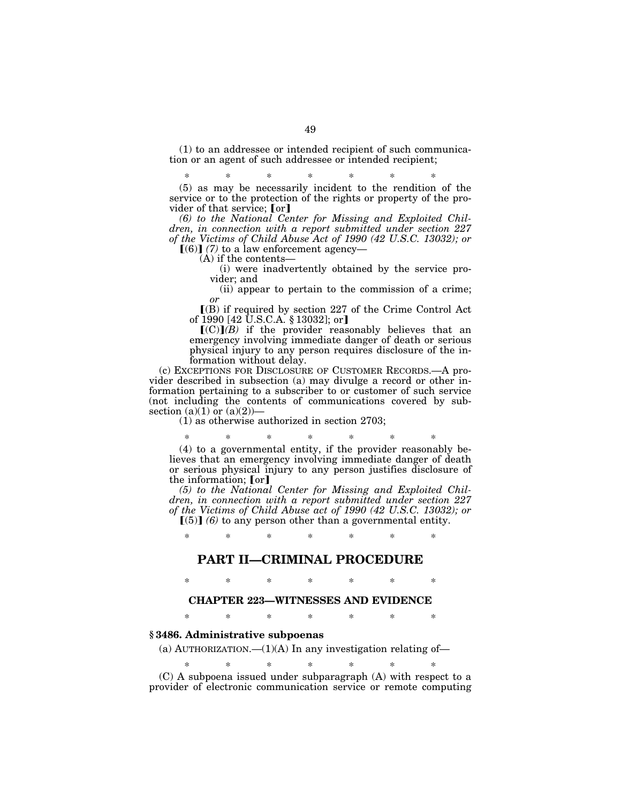(1) to an addressee or intended recipient of such communication or an agent of such addressee or intended recipient;

# \* \* \* \* \* \* \*

(5) as may be necessarily incident to the rendition of the service or to the protection of the rights or property of the provider of that service;  $\lceil \text{or} \rceil$ 

*(6) to the National Center for Missing and Exploited Children, in connection with a report submitted under section 227 of the Victims of Child Abuse Act of 1990 (42 U.S.C. 13032); or*  $(6)$  (7) to a law enforcement agency—

(A) if the contents—

(i) were inadvertently obtained by the service provider; and

(ii) appear to pertain to the commission of a crime; *or*

 $(6)$  if required by section 227 of the Crime Control Act of 1990 [42 U.S.C.A. § 13032]; or]

 $[(C)]$  $(B)$  if the provider reasonably believes that an emergency involving immediate danger of death or serious physical injury to any person requires disclosure of the information without delay.

(c) EXCEPTIONS FOR DISCLOSURE OF CUSTOMER RECORDS.—A provider described in subsection (a) may divulge a record or other information pertaining to a subscriber to or customer of such service (not including the contents of communications covered by subsection (a)(1) or  $(a)(2)$ —

(1) as otherwise authorized in section 2703;

\* \* \* \* \* \* \* (4) to a governmental entity, if the provider reasonably believes that an emergency involving immediate danger of death or serious physical injury to any person justifies disclosure of the information; [or]

*(5) to the National Center for Missing and Exploited Children, in connection with a report submitted under section 227 of the Victims of Child Abuse act of 1990 (42 U.S.C. 13032); or*   $(5)$  *(6)* to any person other than a governmental entity.

# \* \* \* \* \* \* \* **PART II—CRIMINAL PROCEDURE**

# \* \* \* \* \* \* \*

# **CHAPTER 223—WITNESSES AND EVIDENCE**

\* \* \* \* \* \* \*

# **§ 3486. Administrative subpoenas**

(a) AUTHORIZATION.— $(1)(A)$  In any investigation relating of—

\* \* \* \* \* \* \* (C) A subpoena issued under subparagraph (A) with respect to a provider of electronic communication service or remote computing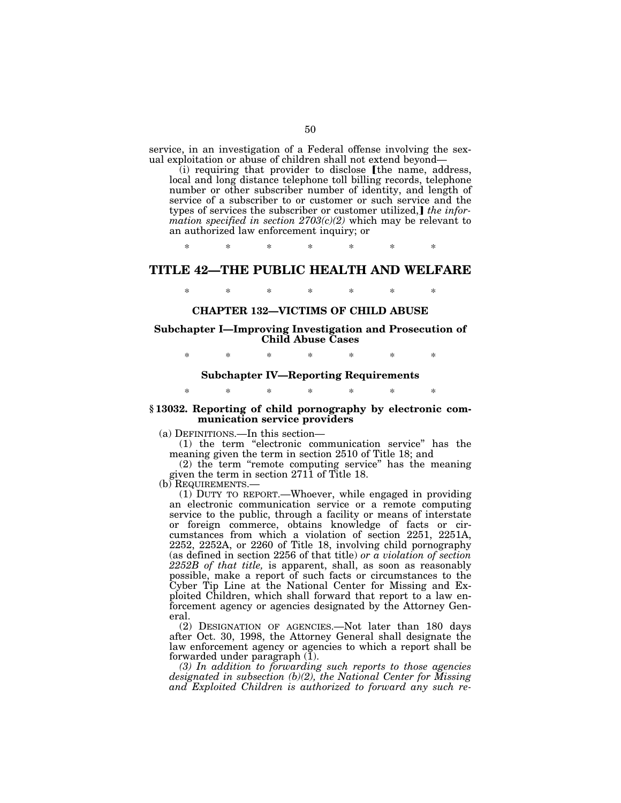service, in an investigation of a Federal offense involving the sexual exploitation or abuse of children shall not extend beyond—

(i) requiring that provider to disclose [the name, address, local and long distance telephone toll billing records, telephone number or other subscriber number of identity, and length of service of a subscriber to or customer or such service and the types of services the subscriber or customer utilized, *the information specified in section 2703(c)(2)* which may be relevant to an authorized law enforcement inquiry; or

\* \* \* \* \* \* \*

# **TITLE 42—THE PUBLIC HEALTH AND WELFARE**

\* \* \* \* \* \* \*

#### **CHAPTER 132—VICTIMS OF CHILD ABUSE**

# **Subchapter I—Improving Investigation and Prosecution of Child Abuse Cases**

\* \* \* \* \* \* \*

# **Subchapter IV—Reporting Requirements**  \* \* \* \* \* \* \*

# **§ 13032. Reporting of child pornography by electronic communication service providers**

(a) DEFINITIONS.—In this section—

(1) the term ''electronic communication service'' has the meaning given the term in section 2510 of Title 18; and

(2) the term "remote computing service" has the meaning given the term in section 2711 of Title 18.

(b) REQUIREMENTS.—

(1) DUTY TO REPORT.—Whoever, while engaged in providing an electronic communication service or a remote computing service to the public, through a facility or means of interstate or foreign commerce, obtains knowledge of facts or circumstances from which a violation of section 2251, 2251A, 2252, 2252A, or 2260 of Title 18, involving child pornography (as defined in section 2256 of that title) *or a violation of section 2252B of that title,* is apparent, shall, as soon as reasonably possible, make a report of such facts or circumstances to the Cyber Tip Line at the National Center for Missing and Exploited Children, which shall forward that report to a law enforcement agency or agencies designated by the Attorney General.

(2) DESIGNATION OF AGENCIES.—Not later than 180 days after Oct. 30, 1998, the Attorney General shall designate the law enforcement agency or agencies to which a report shall be forwarded under paragraph  $(1)$ .

*(3) In addition to forwarding such reports to those agencies designated in subsection (b)(2), the National Center for Missing and Exploited Children is authorized to forward any such re-*